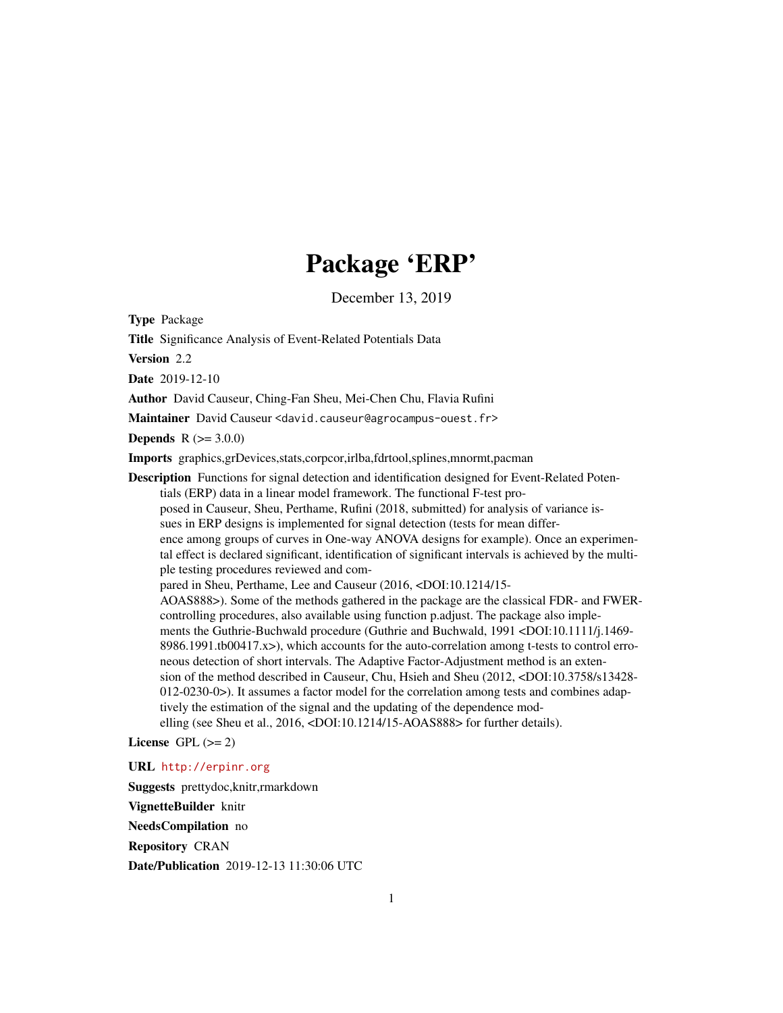## Package 'ERP'

December 13, 2019

<span id="page-0-0"></span>Type Package

Title Significance Analysis of Event-Related Potentials Data

Version 2.2

Date 2019-12-10

Author David Causeur, Ching-Fan Sheu, Mei-Chen Chu, Flavia Rufini

Maintainer David Causeur <david.causeur@agrocampus-ouest.fr>

**Depends**  $R (= 3.0.0)$ 

Imports graphics,grDevices,stats,corpcor,irlba,fdrtool,splines,mnormt,pacman

Description Functions for signal detection and identification designed for Event-Related Potentials (ERP) data in a linear model framework. The functional F-test proposed in Causeur, Sheu, Perthame, Rufini (2018, submitted) for analysis of variance issues in ERP designs is implemented for signal detection (tests for mean difference among groups of curves in One-way ANOVA designs for example). Once an experimental effect is declared significant, identification of significant intervals is achieved by the multiple testing procedures reviewed and compared in Sheu, Perthame, Lee and Causeur (2016, <DOI:10.1214/15- AOAS888>). Some of the methods gathered in the package are the classical FDR- and FWERcontrolling procedures, also available using function p.adjust. The package also implements the Guthrie-Buchwald procedure (Guthrie and Buchwald, 1991 <DOI:10.1111/j.1469-8986.1991.tb00417.x>), which accounts for the auto-correlation among t-tests to control erroneous detection of short intervals. The Adaptive Factor-Adjustment method is an extension of the method described in Causeur, Chu, Hsieh and Sheu (2012, <DOI:10.3758/s13428- 012-0230-0>). It assumes a factor model for the correlation among tests and combines adaptively the estimation of the signal and the updating of the dependence modelling (see Sheu et al., 2016, <DOI:10.1214/15-AOAS888> for further details).

License GPL  $(>= 2)$ 

URL <http://erpinr.org>

Suggests prettydoc,knitr,rmarkdown

VignetteBuilder knitr

NeedsCompilation no

Repository CRAN

Date/Publication 2019-12-13 11:30:06 UTC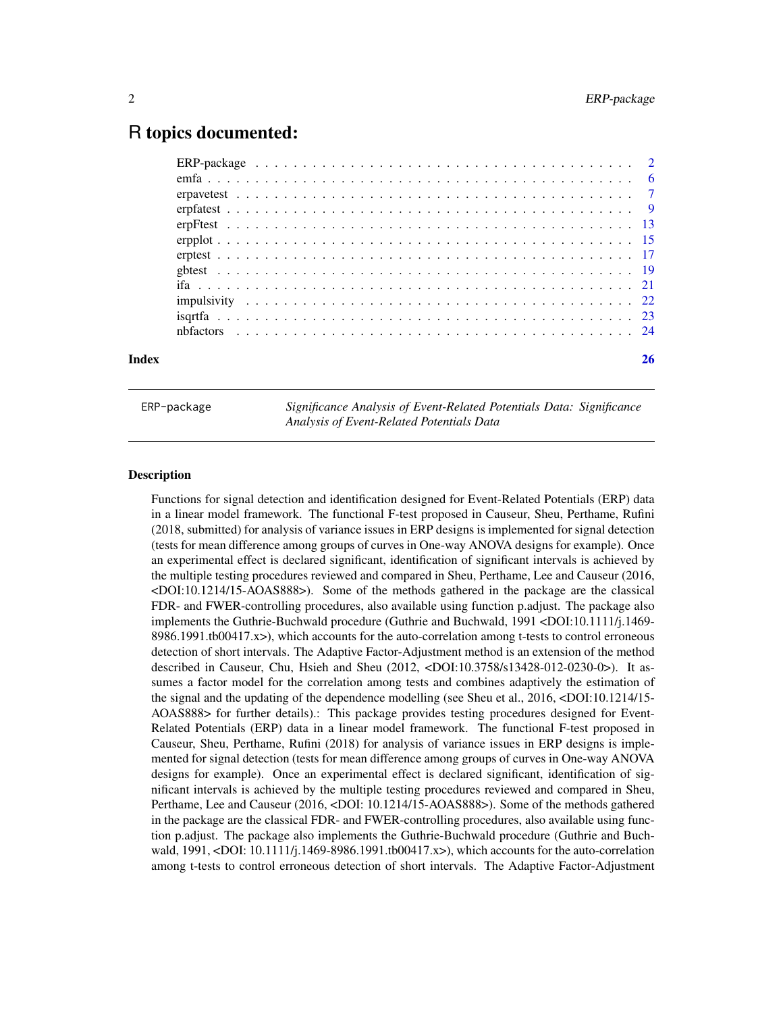### <span id="page-1-0"></span>R topics documented:

| Index |  |  |  |  |  |  |  |  |  |  |  |  |  |  |  |  |  | 26 |
|-------|--|--|--|--|--|--|--|--|--|--|--|--|--|--|--|--|--|----|

ERP-package *Significance Analysis of Event-Related Potentials Data: Significance Analysis of Event-Related Potentials Data*

#### **Description**

Functions for signal detection and identification designed for Event-Related Potentials (ERP) data in a linear model framework. The functional F-test proposed in Causeur, Sheu, Perthame, Rufini (2018, submitted) for analysis of variance issues in ERP designs is implemented for signal detection (tests for mean difference among groups of curves in One-way ANOVA designs for example). Once an experimental effect is declared significant, identification of significant intervals is achieved by the multiple testing procedures reviewed and compared in Sheu, Perthame, Lee and Causeur (2016, <DOI:10.1214/15-AOAS888>). Some of the methods gathered in the package are the classical FDR- and FWER-controlling procedures, also available using function p.adjust. The package also implements the Guthrie-Buchwald procedure (Guthrie and Buchwald, 1991 <DOI:10.1111/j.1469- 8986.1991.tb00417.x>), which accounts for the auto-correlation among t-tests to control erroneous detection of short intervals. The Adaptive Factor-Adjustment method is an extension of the method described in Causeur, Chu, Hsieh and Sheu (2012, <DOI:10.3758/s13428-012-0230-0>). It assumes a factor model for the correlation among tests and combines adaptively the estimation of the signal and the updating of the dependence modelling (see Sheu et al., 2016, <DOI:10.1214/15- AOAS888> for further details).: This package provides testing procedures designed for Event-Related Potentials (ERP) data in a linear model framework. The functional F-test proposed in Causeur, Sheu, Perthame, Rufini (2018) for analysis of variance issues in ERP designs is implemented for signal detection (tests for mean difference among groups of curves in One-way ANOVA designs for example). Once an experimental effect is declared significant, identification of significant intervals is achieved by the multiple testing procedures reviewed and compared in Sheu, Perthame, Lee and Causeur (2016, <DOI: 10.1214/15-AOAS888>). Some of the methods gathered in the package are the classical FDR- and FWER-controlling procedures, also available using function p.adjust. The package also implements the Guthrie-Buchwald procedure (Guthrie and Buchwald, 1991, <DOI: 10.1111/j.1469-8986.1991.tb00417.x>), which accounts for the auto-correlation among t-tests to control erroneous detection of short intervals. The Adaptive Factor-Adjustment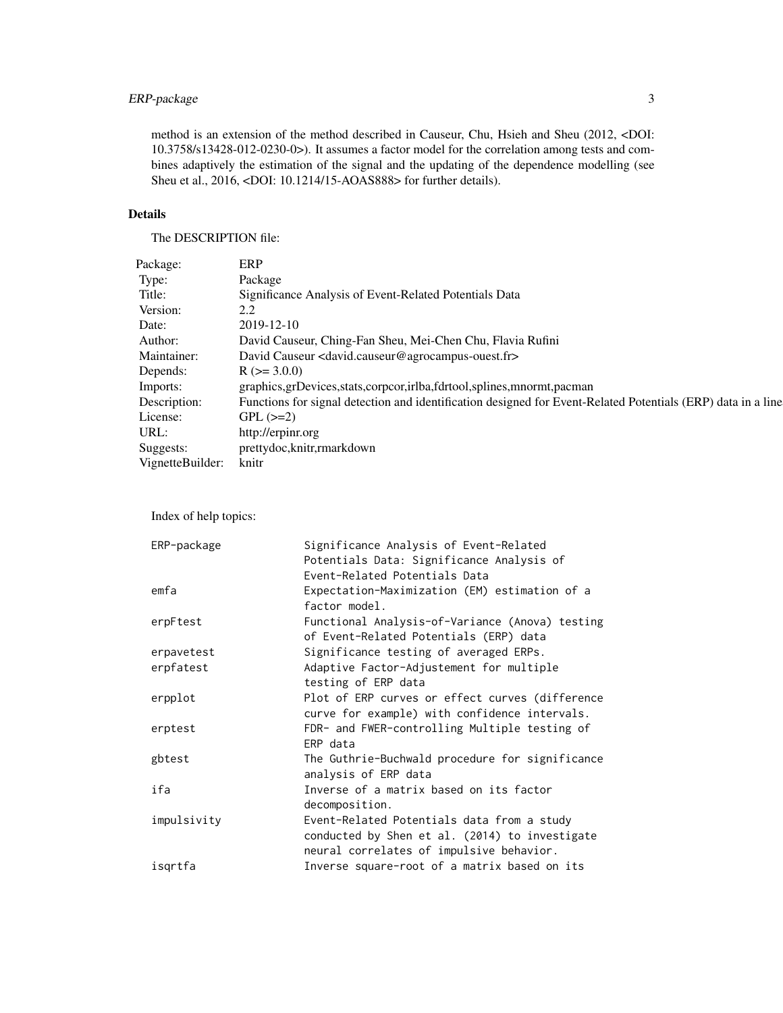#### ERP-package 3

method is an extension of the method described in Causeur, Chu, Hsieh and Sheu (2012, <DOI: 10.3758/s13428-012-0230-0>). It assumes a factor model for the correlation among tests and combines adaptively the estimation of the signal and the updating of the dependence modelling (see Sheu et al., 2016, <DOI: 10.1214/15-AOAS888> for further details).

#### Details

The DESCRIPTION file:

| Significance Analysis of Event-Related Potentials Data                                                                                                                               |
|--------------------------------------------------------------------------------------------------------------------------------------------------------------------------------------|
|                                                                                                                                                                                      |
| Date: $2019-12-10$                                                                                                                                                                   |
|                                                                                                                                                                                      |
|                                                                                                                                                                                      |
|                                                                                                                                                                                      |
|                                                                                                                                                                                      |
|                                                                                                                                                                                      |
|                                                                                                                                                                                      |
| graphics,grDevices,stats,corpcor,irlba,fdrtool,splines,mnormt,pacman<br>Exactions for signal detection and identification designed for Event-Related Potentials (ERP) data in a line |
|                                                                                                                                                                                      |
|                                                                                                                                                                                      |
|                                                                                                                                                                                      |
| http://erpinr.org<br>sts: prettydoc,knitr,rmarkdown<br>spetteBuilder: knitr                                                                                                          |
|                                                                                                                                                                                      |
|                                                                                                                                                                                      |
|                                                                                                                                                                                      |

Index of help topics:

| ERP-package | Significance Analysis of Event-Related          |
|-------------|-------------------------------------------------|
|             | Potentials Data: Significance Analysis of       |
|             | Event-Related Potentials Data                   |
| emfa        | Expectation-Maximization (EM) estimation of a   |
|             | factor model.                                   |
| erpFtest    | Functional Analysis-of-Variance (Anova) testing |
|             | of Event-Related Potentials (ERP) data          |
| erpavetest  | Significance testing of averaged ERPs.          |
| erpfatest   | Adaptive Factor-Adjustement for multiple        |
|             | testing of ERP data                             |
| erpplot     | Plot of ERP curves or effect curves (difference |
|             | curve for example) with confidence intervals.   |
| erptest     | FDR- and FWER-controlling Multiple testing of   |
|             | ERP data                                        |
| gbtest      | The Guthrie-Buchwald procedure for significance |
|             | analysis of ERP data                            |
| ifa         | Inverse of a matrix based on its factor         |
|             | decomposition.                                  |
| impulsivity | Event-Related Potentials data from a study      |
|             | conducted by Shen et al. (2014) to investigate  |
|             | neural correlates of impulsive behavior.        |
| isgrtfa     | Inverse square-root of a matrix based on its    |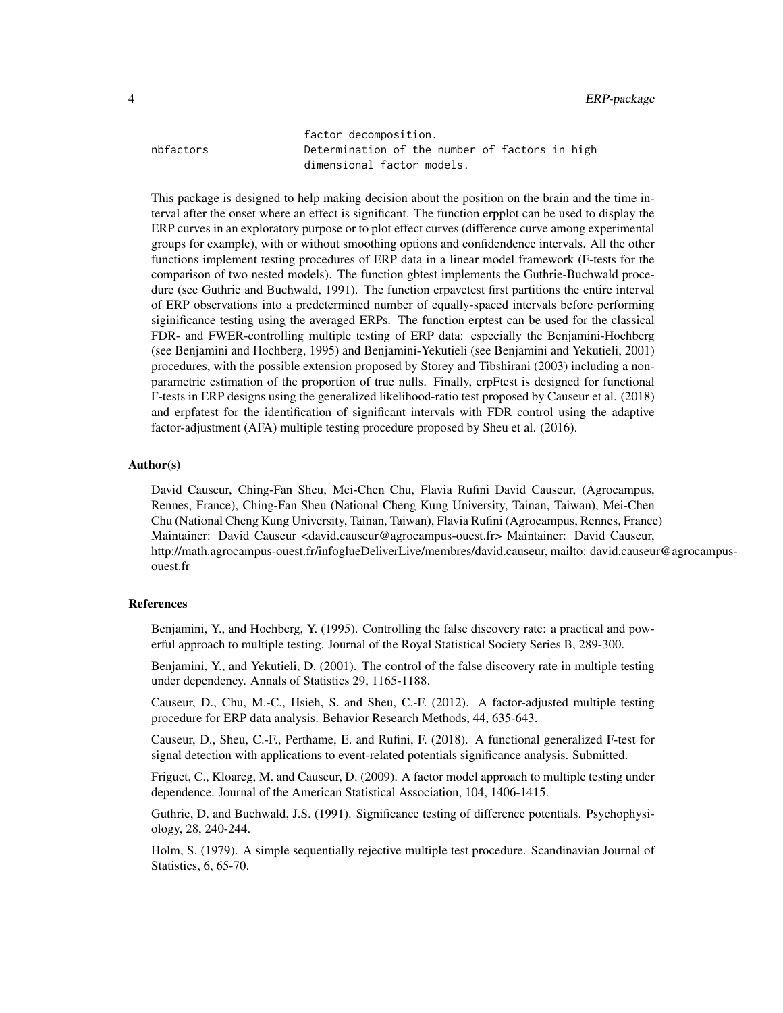factor decomposition. nbfactors Determination of the number of factors in high dimensional factor models.

This package is designed to help making decision about the position on the brain and the time interval after the onset where an effect is significant. The function erpplot can be used to display the ERP curves in an exploratory purpose or to plot effect curves (difference curve among experimental groups for example), with or without smoothing options and confidendence intervals. All the other functions implement testing procedures of ERP data in a linear model framework (F-tests for the comparison of two nested models). The function gbtest implements the Guthrie-Buchwald procedure (see Guthrie and Buchwald, 1991). The function erpavetest first partitions the entire interval of ERP observations into a predetermined number of equally-spaced intervals before performing siginificance testing using the averaged ERPs. The function erptest can be used for the classical FDR- and FWER-controlling multiple testing of ERP data: especially the Benjamini-Hochberg (see Benjamini and Hochberg, 1995) and Benjamini-Yekutieli (see Benjamini and Yekutieli, 2001) procedures, with the possible extension proposed by Storey and Tibshirani (2003) including a nonparametric estimation of the proportion of true nulls. Finally, erpFtest is designed for functional F-tests in ERP designs using the generalized likelihood-ratio test proposed by Causeur et al. (2018) and erpfatest for the identification of significant intervals with FDR control using the adaptive factor-adjustment (AFA) multiple testing procedure proposed by Sheu et al. (2016).

#### Author(s)

David Causeur, Ching-Fan Sheu, Mei-Chen Chu, Flavia Rufini David Causeur, (Agrocampus, Rennes, France), Ching-Fan Sheu (National Cheng Kung University, Tainan, Taiwan), Mei-Chen Chu (National Cheng Kung University, Tainan, Taiwan), Flavia Rufini (Agrocampus, Rennes, France) Maintainer: David Causeur <david.causeur@agrocampus-ouest.fr> Maintainer: David Causeur, http://math.agrocampus-ouest.fr/infoglueDeliverLive/membres/david.causeur, mailto: david.causeur@agrocampusouest.fr

#### References

Benjamini, Y., and Hochberg, Y. (1995). Controlling the false discovery rate: a practical and powerful approach to multiple testing. Journal of the Royal Statistical Society Series B, 289-300.

Benjamini, Y., and Yekutieli, D. (2001). The control of the false discovery rate in multiple testing under dependency. Annals of Statistics 29, 1165-1188.

Causeur, D., Chu, M.-C., Hsieh, S. and Sheu, C.-F. (2012). A factor-adjusted multiple testing procedure for ERP data analysis. Behavior Research Methods, 44, 635-643.

Causeur, D., Sheu, C.-F., Perthame, E. and Rufini, F. (2018). A functional generalized F-test for signal detection with applications to event-related potentials significance analysis. Submitted.

Friguet, C., Kloareg, M. and Causeur, D. (2009). A factor model approach to multiple testing under dependence. Journal of the American Statistical Association, 104, 1406-1415.

Guthrie, D. and Buchwald, J.S. (1991). Significance testing of difference potentials. Psychophysiology, 28, 240-244.

Holm, S. (1979). A simple sequentially rejective multiple test procedure. Scandinavian Journal of Statistics, 6, 65-70.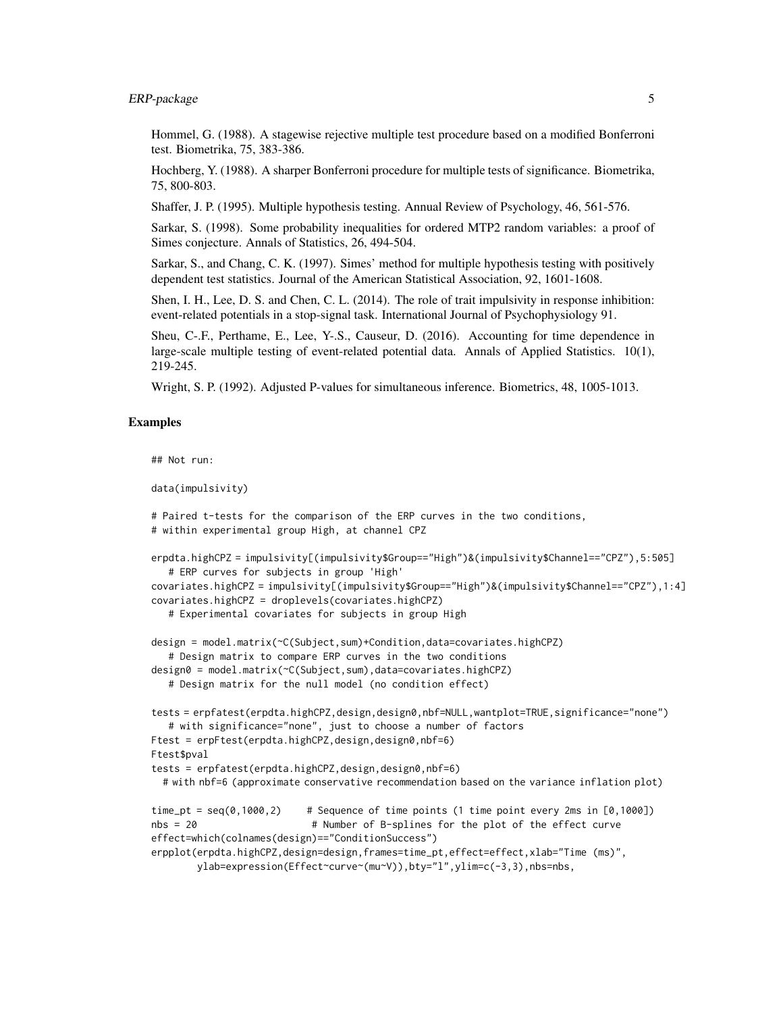#### ERP-package 5

Hommel, G. (1988). A stagewise rejective multiple test procedure based on a modified Bonferroni test. Biometrika, 75, 383-386.

Hochberg, Y. (1988). A sharper Bonferroni procedure for multiple tests of significance. Biometrika, 75, 800-803.

Shaffer, J. P. (1995). Multiple hypothesis testing. Annual Review of Psychology, 46, 561-576.

Sarkar, S. (1998). Some probability inequalities for ordered MTP2 random variables: a proof of Simes conjecture. Annals of Statistics, 26, 494-504.

Sarkar, S., and Chang, C. K. (1997). Simes' method for multiple hypothesis testing with positively dependent test statistics. Journal of the American Statistical Association, 92, 1601-1608.

Shen, I. H., Lee, D. S. and Chen, C. L. (2014). The role of trait impulsivity in response inhibition: event-related potentials in a stop-signal task. International Journal of Psychophysiology 91.

Sheu, C-.F., Perthame, E., Lee, Y-.S., Causeur, D. (2016). Accounting for time dependence in large-scale multiple testing of event-related potential data. Annals of Applied Statistics. 10(1), 219-245.

Wright, S. P. (1992). Adjusted P-values for simultaneous inference. Biometrics, 48, 1005-1013.

#### Examples

```
## Not run:
```

```
data(impulsivity)
```

```
# Paired t-tests for the comparison of the ERP curves in the two conditions,
# within experimental group High, at channel CPZ
erpdta.highCPZ = impulsivity[(impulsivity$Group=="High")&(impulsivity$Channel=="CPZ"),5:505]
   # ERP curves for subjects in group 'High'
covariates.highCPZ = impulsivity[(impulsivity$Group=="High")&(impulsivity$Channel=="CPZ"),1:4]
covariates.highCPZ = droplevels(covariates.highCPZ)
   # Experimental covariates for subjects in group High
design = model.matrix(~C(Subject,sum)+Condition,data=covariates.highCPZ)
   # Design matrix to compare ERP curves in the two conditions
design0 = model.matrix(~C(Subject,sum),data=covariates.highCPZ)
   # Design matrix for the null model (no condition effect)
tests = erpfatest(erpdta.highCPZ,design,design0,nbf=NULL,wantplot=TRUE,significance="none")
   # with significance="none", just to choose a number of factors
Ftest = erpFtest(erpdta.highCPZ,design,design0,nbf=6)
Ftest$pval
tests = erpfatest(erpdta.highCPZ,design,design0,nbf=6)
 # with nbf=6 (approximate conservative recommendation based on the variance inflation plot)
time_pt = seq(0, 1000, 2) # Sequence of time points (1 time point every 2ms in [0,1000])
nbs = 20 # Number of B-splines for the plot of the effect curve
effect=which(colnames(design)=="ConditionSuccess")
erpplot(erpdta.highCPZ,design=design,frames=time_pt,effect=effect,xlab="Time (ms)",
       ylab=expression(Effect~curve~(mu~V)),bty="l",ylim=c(-3,3),nbs=nbs,
```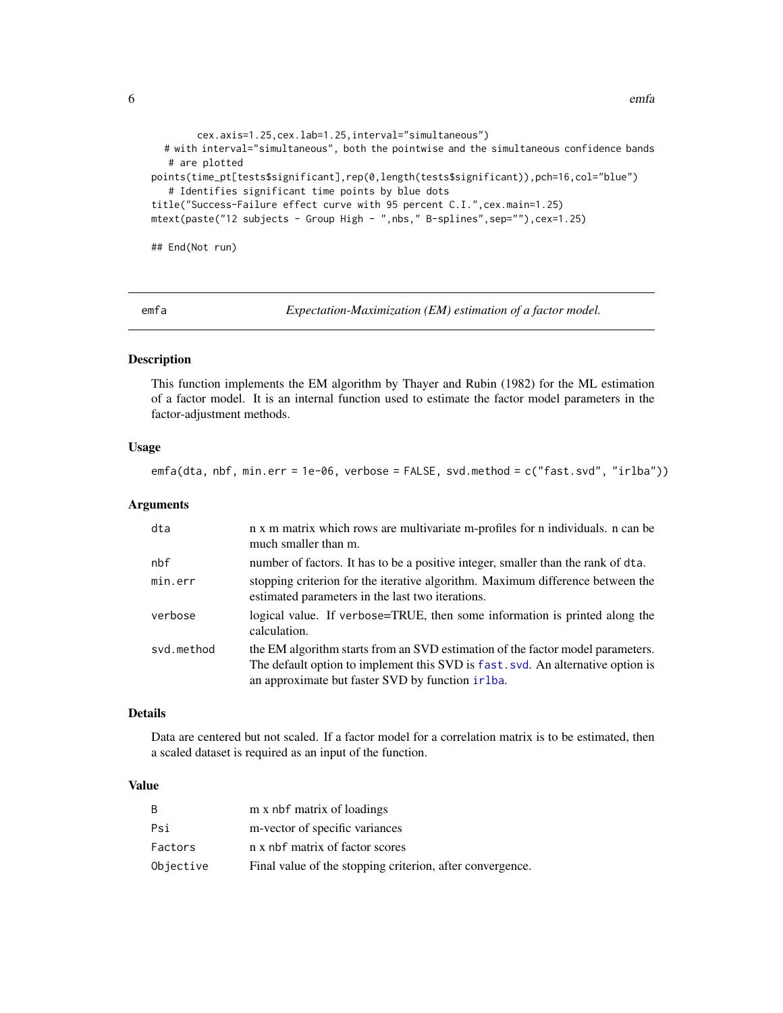<span id="page-5-0"></span> $\epsilon$  6 emfa

```
cex.axis=1.25,cex.lab=1.25,interval="simultaneous")
  # with interval="simultaneous", both the pointwise and the simultaneous confidence bands
  # are plotted
points(time_pt[tests$significant],rep(0,length(tests$significant)),pch=16,col="blue")
  # Identifies significant time points by blue dots
title("Success-Failure effect curve with 95 percent C.I.",cex.main=1.25)
mtext(paste("12 subjects - Group High - ",nbs," B-splines",sep=""),cex=1.25)
```
## End(Not run)

<span id="page-5-1"></span>

emfa *Expectation-Maximization (EM) estimation of a factor model.*

#### Description

This function implements the EM algorithm by Thayer and Rubin (1982) for the ML estimation of a factor model. It is an internal function used to estimate the factor model parameters in the factor-adjustment methods.

#### Usage

emfa(dta, nbf, min.err = 1e-06, verbose = FALSE, svd.method = c("fast.svd", "irlba"))

#### Arguments

| dta        | n x m matrix which rows are multivariate m-profiles for n individuals. n can be<br>much smaller than m.                                                                                                                |
|------------|------------------------------------------------------------------------------------------------------------------------------------------------------------------------------------------------------------------------|
| nbf        | number of factors. It has to be a positive integer, smaller than the rank of dta.                                                                                                                                      |
| min.err    | stopping criterion for the iterative algorithm. Maximum difference between the<br>estimated parameters in the last two iterations.                                                                                     |
| verbose    | logical value. If verbose=TRUE, then some information is printed along the<br>calculation.                                                                                                                             |
| svd.method | the EM algorithm starts from an SVD estimation of the factor model parameters.<br>The default option to implement this SVD is fast, svd. An alternative option is<br>an approximate but faster SVD by function in lba. |

#### Details

Data are centered but not scaled. If a factor model for a correlation matrix is to be estimated, then a scaled dataset is required as an input of the function.

#### Value

| B.        | m x nbf matrix of loadings                                |
|-----------|-----------------------------------------------------------|
| Psi       | m-vector of specific variances                            |
| Factors   | n x nbf matrix of factor scores                           |
| Objective | Final value of the stopping criterion, after convergence. |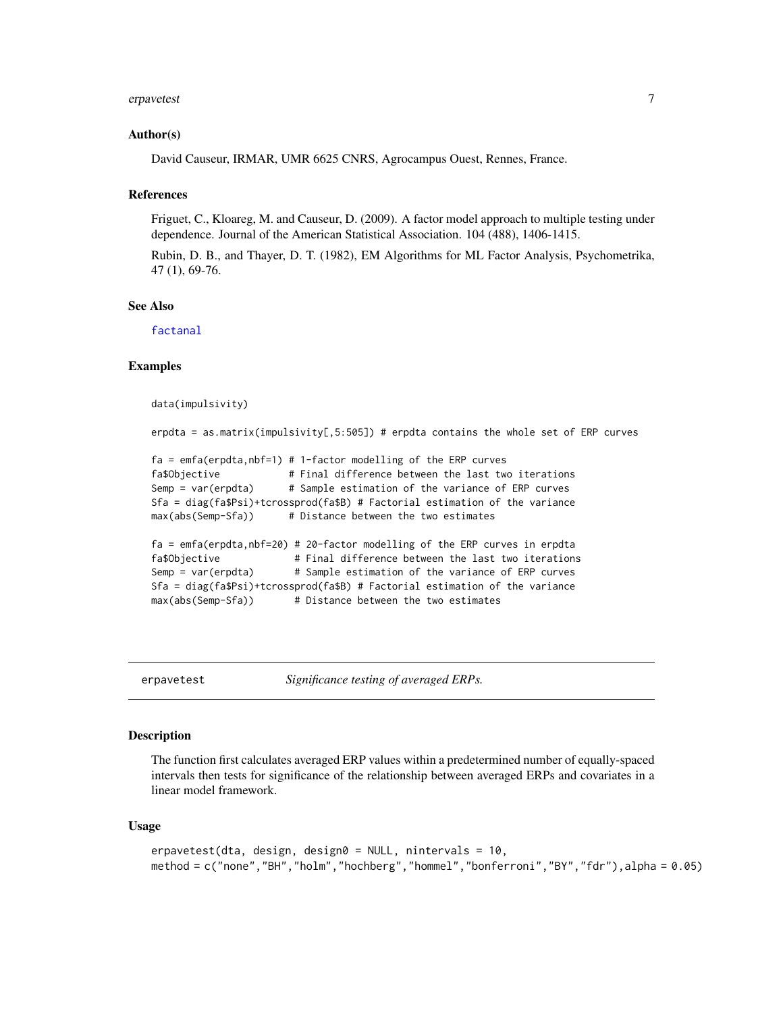#### <span id="page-6-0"></span>erpavetest 7

#### Author(s)

David Causeur, IRMAR, UMR 6625 CNRS, Agrocampus Ouest, Rennes, France.

#### References

Friguet, C., Kloareg, M. and Causeur, D. (2009). A factor model approach to multiple testing under dependence. Journal of the American Statistical Association. 104 (488), 1406-1415.

Rubin, D. B., and Thayer, D. T. (1982), EM Algorithms for ML Factor Analysis, Psychometrika, 47 (1), 69-76.

#### See Also

[factanal](#page-0-0)

#### Examples

```
data(impulsivity)
```
erpdta = as.matrix(impulsivity[,5:505]) # erpdta contains the whole set of ERP curves

```
fa = emfa(erpdta, nbf=1) # 1-factor modeling of the ERP curvesfa$Objective # Final difference between the last two iterations
Semp = var(erpdta) # Sample estimation of the variance of ERP curves
Sfa = diag(fa$Psi)+tcrossprod(fa$B) # Factorial estimation of the variance
max(abs(Semp-Sfa)) # Distance between the two estimates
fa = emfa(erpdta,nbf=20) # 20-factor modelling of the ERP curves in erpdta
fa$Objective # Final difference between the last two iterations
Semp = var(erpdta) # Sample estimation of the variance of ERP curves
Sfa = diag(fa$Psi)+tcrossprod(fa$B) # Factorial estimation of the variance
max(abs(Semp-Sfa)) # Distance between the two estimates
```
erpavetest *Significance testing of averaged ERPs.*

#### Description

The function first calculates averaged ERP values within a predetermined number of equally-spaced intervals then tests for significance of the relationship between averaged ERPs and covariates in a linear model framework.

#### Usage

```
erpavetest(dta, design, design0 = NULL, nintervals = 10,
method = c("none","BH","holm","hochberg","hommel","bonferroni","BY","fdr"),alpha = 0.05)
```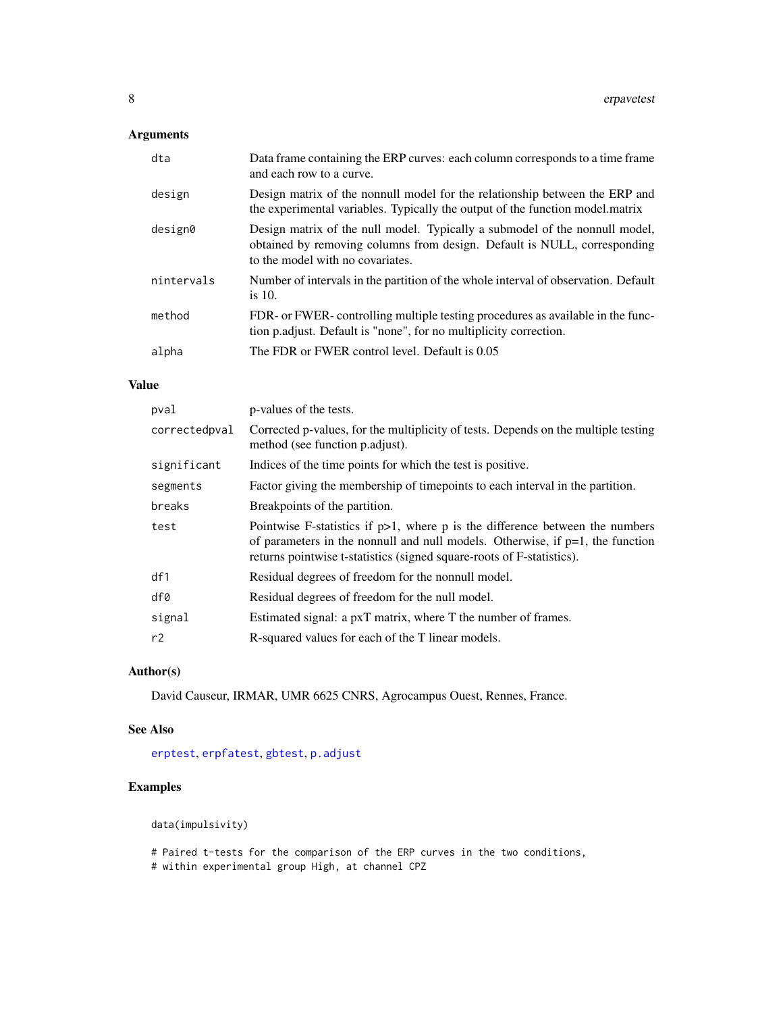#### <span id="page-7-0"></span>Arguments

| dta        | Data frame containing the ERP curves: each column corresponds to a time frame<br>and each row to a curve.                                                                                   |
|------------|---------------------------------------------------------------------------------------------------------------------------------------------------------------------------------------------|
| design     | Design matrix of the nonnull model for the relationship between the ERP and<br>the experimental variables. Typically the output of the function model. matrix                               |
| design0    | Design matrix of the null model. Typically a submodel of the nonnull model,<br>obtained by removing columns from design. Default is NULL, corresponding<br>to the model with no covariates. |
| nintervals | Number of intervals in the partition of the whole interval of observation. Default<br>is $10$ .                                                                                             |
| method     | FDR- or FWER- controlling multiple testing procedures as available in the func-<br>tion p. adjust. Default is "none", for no multiplicity correction.                                       |
| alpha      | The FDR or FWER control level. Default is 0.05                                                                                                                                              |

#### Value

| pval          | p-values of the tests.                                                                                                                                                                                                                       |
|---------------|----------------------------------------------------------------------------------------------------------------------------------------------------------------------------------------------------------------------------------------------|
| correctedpval | Corrected p-values, for the multiplicity of tests. Depends on the multiple testing<br>method (see function p.adjust).                                                                                                                        |
| significant   | Indices of the time points for which the test is positive.                                                                                                                                                                                   |
| segments      | Factor giving the membership of timepoints to each interval in the partition.                                                                                                                                                                |
| breaks        | Breakpoints of the partition.                                                                                                                                                                                                                |
| test          | Pointwise F-statistics if $p>1$ , where p is the difference between the numbers<br>of parameters in the nonnull and null models. Otherwise, if $p=1$ , the function<br>returns pointwise t-statistics (signed square-roots of F-statistics). |
| df1           | Residual degrees of freedom for the nonnull model.                                                                                                                                                                                           |
| df0           | Residual degrees of freedom for the null model.                                                                                                                                                                                              |
| signal        | Estimated signal: a pxT matrix, where T the number of frames.                                                                                                                                                                                |
| r2            | R-squared values for each of the T linear models.                                                                                                                                                                                            |

#### Author(s)

David Causeur, IRMAR, UMR 6625 CNRS, Agrocampus Ouest, Rennes, France.

#### See Also

[erptest](#page-16-1), [erpfatest](#page-8-1), [gbtest](#page-18-1), [p.adjust](#page-0-0)

#### Examples

data(impulsivity)

# Paired t-tests for the comparison of the ERP curves in the two conditions,

# within experimental group High, at channel CPZ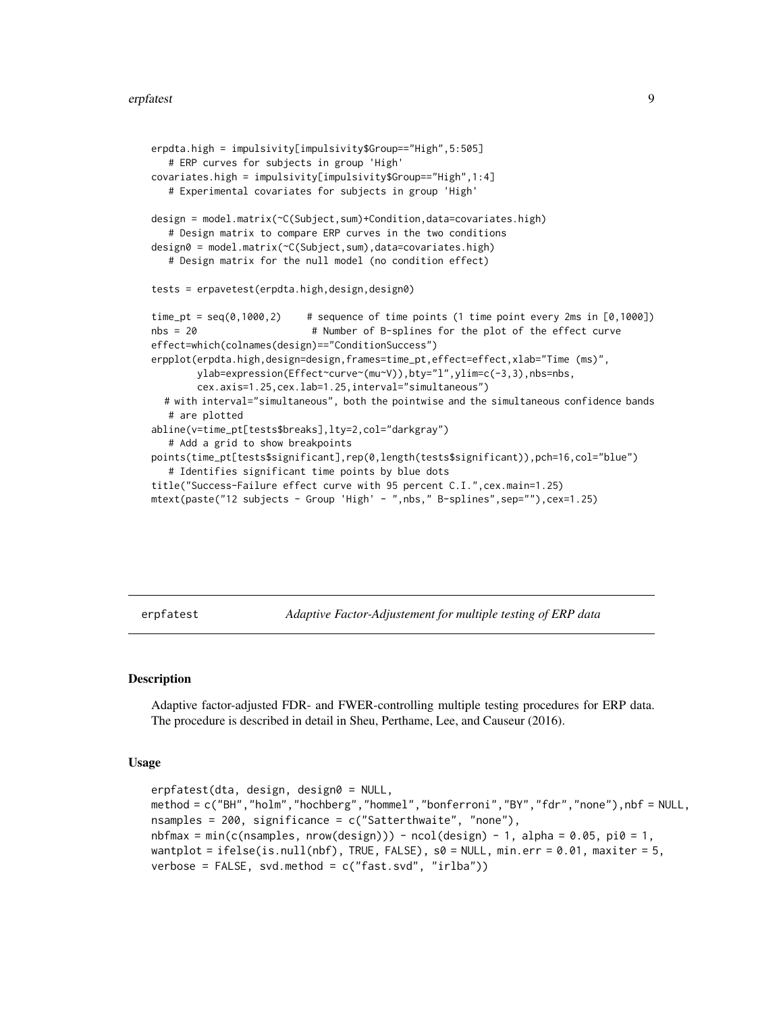```
erpdta.high = impulsivity[impulsivity$Group=="High",5:505]
   # ERP curves for subjects in group 'High'
covariates.high = impulsivity[impulsivity$Group=="High",1:4]
  # Experimental covariates for subjects in group 'High'
design = model.matrix(~C(Subject,sum)+Condition,data=covariates.high)
   # Design matrix to compare ERP curves in the two conditions
design0 = model.matrix(~C(Subject,sum),data=covariates.high)
   # Design matrix for the null model (no condition effect)
tests = erpavetest(erpdta.high,design,design0)
time_pt = seq(0,1000,2) # sequence of time points (1 time point every 2ms in [0,1000])
nbs = 20 # Number of B-splines for the plot of the effect curve
effect=which(colnames(design)=="ConditionSuccess")
erpplot(erpdta.high,design=design,frames=time_pt,effect=effect,xlab="Time (ms)",
        ylab=expression(Effect~curve~(mu~V)),bty="l",ylim=c(-3,3),nbs=nbs,
        cex.axis=1.25,cex.lab=1.25,interval="simultaneous")
  # with interval="simultaneous", both the pointwise and the simultaneous confidence bands
   # are plotted
abline(v=time_pt[tests$breaks],lty=2,col="darkgray")
   # Add a grid to show breakpoints
points(time_pt[tests$significant],rep(0,length(tests$significant)),pch=16,col="blue")
   # Identifies significant time points by blue dots
title("Success-Failure effect curve with 95 percent C.I.",cex.main=1.25)
mtext(paste("12 subjects - Group 'High' - ",nbs," B-splines",sep=""),cex=1.25)
```
<span id="page-8-1"></span>erpfatest *Adaptive Factor-Adjustement for multiple testing of ERP data*

#### **Description**

Adaptive factor-adjusted FDR- and FWER-controlling multiple testing procedures for ERP data. The procedure is described in detail in Sheu, Perthame, Lee, and Causeur (2016).

#### Usage

```
erpfatest(dta, design, design0 = NULL,
method = c("BH","holm","hochberg","hommel","bonferroni","BY","fdr","none"),nbf = NULL,
nsamples = 200, significance = c("Satterthwaite", "none"),
nbfmax = min(c(nsamples, nrow(design))) - ncol(design) - 1, alpha = 0.05, pi0 = 1,wantplot = ifelse(is.null(nbf), TRUE, FALSE), s0 = NULL, min.err = 0.01, maxiter = 5,
verbose = FALSE, svd.method = c("fast.svd", "irlba"))
```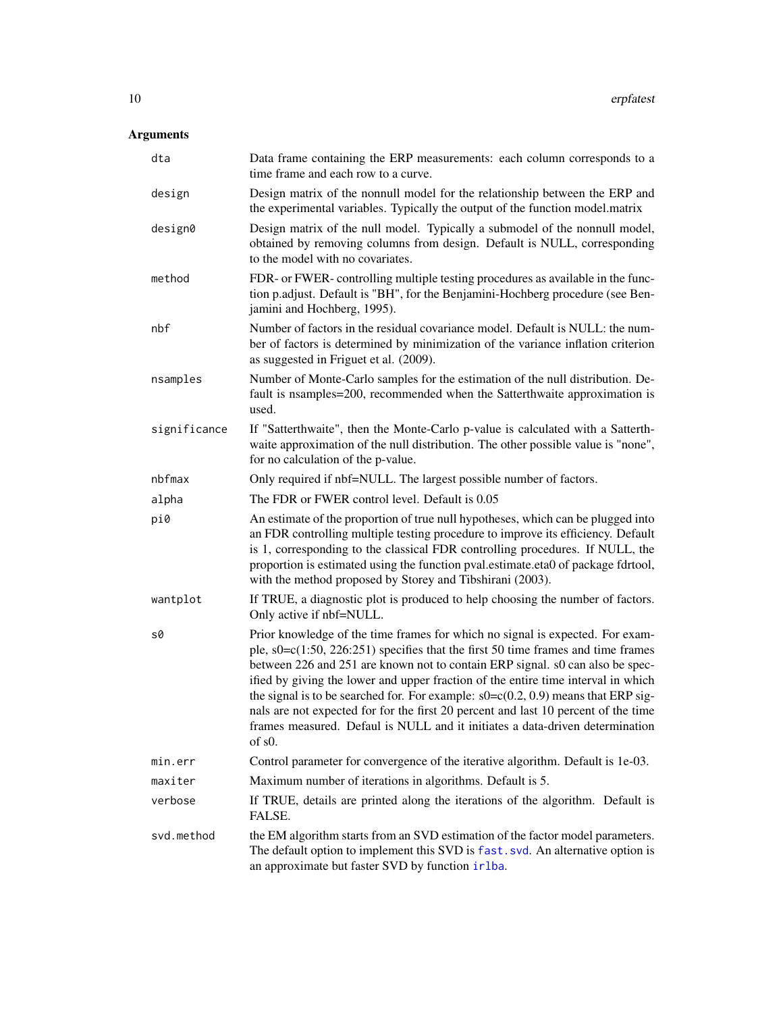#### <span id="page-9-0"></span>Arguments

| dta          | Data frame containing the ERP measurements: each column corresponds to a<br>time frame and each row to a curve.                                                                                                                                                                                                                                                                                                                                                                                                                                                                                                            |
|--------------|----------------------------------------------------------------------------------------------------------------------------------------------------------------------------------------------------------------------------------------------------------------------------------------------------------------------------------------------------------------------------------------------------------------------------------------------------------------------------------------------------------------------------------------------------------------------------------------------------------------------------|
| design       | Design matrix of the nonnull model for the relationship between the ERP and<br>the experimental variables. Typically the output of the function model.matrix                                                                                                                                                                                                                                                                                                                                                                                                                                                               |
| design0      | Design matrix of the null model. Typically a submodel of the nonnull model,<br>obtained by removing columns from design. Default is NULL, corresponding<br>to the model with no covariates.                                                                                                                                                                                                                                                                                                                                                                                                                                |
| method       | FDR- or FWER- controlling multiple testing procedures as available in the func-<br>tion p.adjust. Default is "BH", for the Benjamini-Hochberg procedure (see Ben-<br>jamini and Hochberg, 1995).                                                                                                                                                                                                                                                                                                                                                                                                                           |
| nbf          | Number of factors in the residual covariance model. Default is NULL: the num-<br>ber of factors is determined by minimization of the variance inflation criterion<br>as suggested in Friguet et al. (2009).                                                                                                                                                                                                                                                                                                                                                                                                                |
| nsamples     | Number of Monte-Carlo samples for the estimation of the null distribution. De-<br>fault is nsamples=200, recommended when the Satterthwaite approximation is<br>used.                                                                                                                                                                                                                                                                                                                                                                                                                                                      |
| significance | If "Satterthwaite", then the Monte-Carlo p-value is calculated with a Satterth-<br>waite approximation of the null distribution. The other possible value is "none",<br>for no calculation of the p-value.                                                                                                                                                                                                                                                                                                                                                                                                                 |
| nbfmax       | Only required if nbf=NULL. The largest possible number of factors.                                                                                                                                                                                                                                                                                                                                                                                                                                                                                                                                                         |
| alpha        | The FDR or FWER control level. Default is 0.05                                                                                                                                                                                                                                                                                                                                                                                                                                                                                                                                                                             |
| pi0          | An estimate of the proportion of true null hypotheses, which can be plugged into<br>an FDR controlling multiple testing procedure to improve its efficiency. Default<br>is 1, corresponding to the classical FDR controlling procedures. If NULL, the<br>proportion is estimated using the function pval.estimate.eta0 of package fdrtool,<br>with the method proposed by Storey and Tibshirani (2003).                                                                                                                                                                                                                    |
| wantplot     | If TRUE, a diagnostic plot is produced to help choosing the number of factors.<br>Only active if nbf=NULL.                                                                                                                                                                                                                                                                                                                                                                                                                                                                                                                 |
| s0           | Prior knowledge of the time frames for which no signal is expected. For exam-<br>ple, $s0 = c(1:50, 226:251)$ specifies that the first 50 time frames and time frames<br>between 226 and 251 are known not to contain ERP signal. s0 can also be spec-<br>ified by giving the lower and upper fraction of the entire time interval in which<br>the signal is to be searched for. For example: $s0 = c(0.2, 0.9)$ means that ERP sig-<br>nals are not expected for for the first 20 percent and last 10 percent of the time<br>frames measured. Defaul is NULL and it initiates a data-driven determination<br>$of$ s $0$ . |
| min.err      | Control parameter for convergence of the iterative algorithm. Default is 1e-03.                                                                                                                                                                                                                                                                                                                                                                                                                                                                                                                                            |
| maxiter      | Maximum number of iterations in algorithms. Default is 5.                                                                                                                                                                                                                                                                                                                                                                                                                                                                                                                                                                  |
| verbose      | If TRUE, details are printed along the iterations of the algorithm. Default is<br>FALSE.                                                                                                                                                                                                                                                                                                                                                                                                                                                                                                                                   |
| svd.method   | the EM algorithm starts from an SVD estimation of the factor model parameters.<br>The default option to implement this SVD is fast. svd. An alternative option is<br>an approximate but faster SVD by function irlba.                                                                                                                                                                                                                                                                                                                                                                                                      |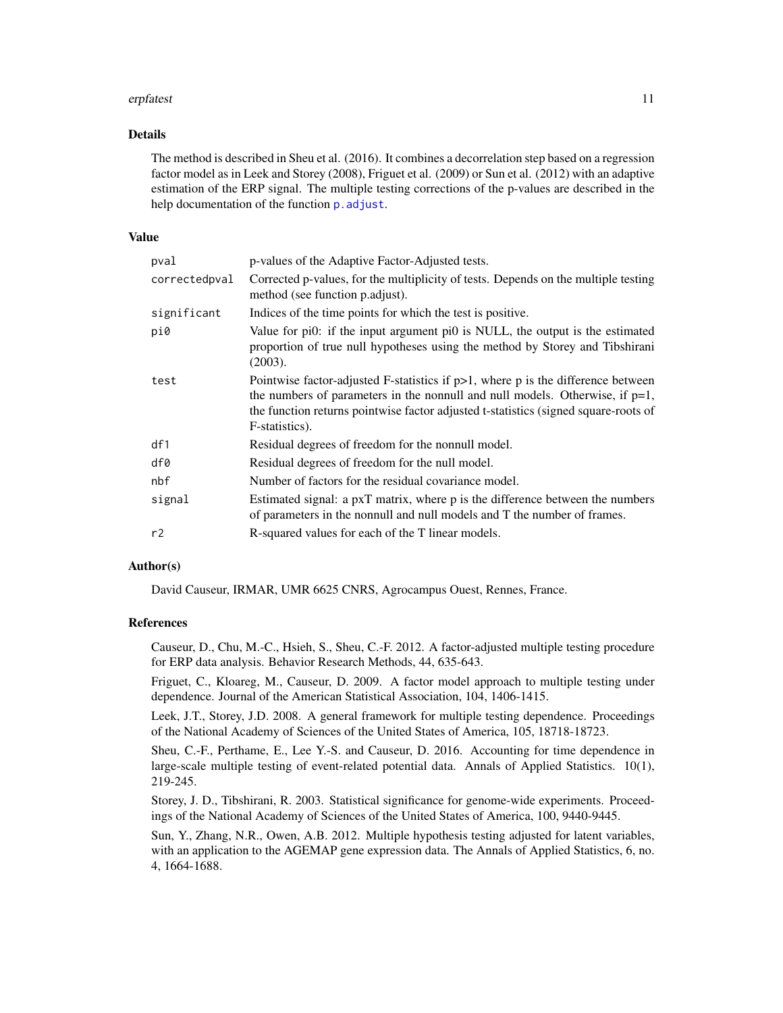#### <span id="page-10-0"></span>erpfatest 11

#### Details

The method is described in Sheu et al. (2016). It combines a decorrelation step based on a regression factor model as in Leek and Storey (2008), Friguet et al. (2009) or Sun et al. (2012) with an adaptive estimation of the ERP signal. The multiple testing corrections of the p-values are described in the help documentation of the function p. adjust.

#### Value

| pval          | p-values of the Adaptive Factor-Adjusted tests.                                                                                                                                                                                                                                 |
|---------------|---------------------------------------------------------------------------------------------------------------------------------------------------------------------------------------------------------------------------------------------------------------------------------|
| correctedpval | Corrected p-values, for the multiplicity of tests. Depends on the multiple testing<br>method (see function p.adjust).                                                                                                                                                           |
| significant   | Indices of the time points for which the test is positive.                                                                                                                                                                                                                      |
| pi0           | Value for pi0: if the input argument pi0 is NULL, the output is the estimated<br>proportion of true null hypotheses using the method by Storey and Tibshirani<br>(2003).                                                                                                        |
| test          | Pointwise factor-adjusted F-statistics if $p>1$ , where p is the difference between<br>the numbers of parameters in the nonnull and null models. Otherwise, if $p=1$ ,<br>the function returns pointwise factor adjusted t-statistics (signed square-roots of<br>F-statistics). |
| df1           | Residual degrees of freedom for the nonnull model.                                                                                                                                                                                                                              |
| df0           | Residual degrees of freedom for the null model.                                                                                                                                                                                                                                 |
| nbf           | Number of factors for the residual covariance model.                                                                                                                                                                                                                            |
| signal        | Estimated signal: a pxT matrix, where p is the difference between the numbers<br>of parameters in the nonnull and null models and T the number of frames.                                                                                                                       |
| r2            | R-squared values for each of the T linear models.                                                                                                                                                                                                                               |

#### Author(s)

David Causeur, IRMAR, UMR 6625 CNRS, Agrocampus Ouest, Rennes, France.

#### References

Causeur, D., Chu, M.-C., Hsieh, S., Sheu, C.-F. 2012. A factor-adjusted multiple testing procedure for ERP data analysis. Behavior Research Methods, 44, 635-643.

Friguet, C., Kloareg, M., Causeur, D. 2009. A factor model approach to multiple testing under dependence. Journal of the American Statistical Association, 104, 1406-1415.

Leek, J.T., Storey, J.D. 2008. A general framework for multiple testing dependence. Proceedings of the National Academy of Sciences of the United States of America, 105, 18718-18723.

Sheu, C.-F., Perthame, E., Lee Y.-S. and Causeur, D. 2016. Accounting for time dependence in large-scale multiple testing of event-related potential data. Annals of Applied Statistics. 10(1), 219-245.

Storey, J. D., Tibshirani, R. 2003. Statistical significance for genome-wide experiments. Proceedings of the National Academy of Sciences of the United States of America, 100, 9440-9445.

Sun, Y., Zhang, N.R., Owen, A.B. 2012. Multiple hypothesis testing adjusted for latent variables, with an application to the AGEMAP gene expression data. The Annals of Applied Statistics, 6, no. 4, 1664-1688.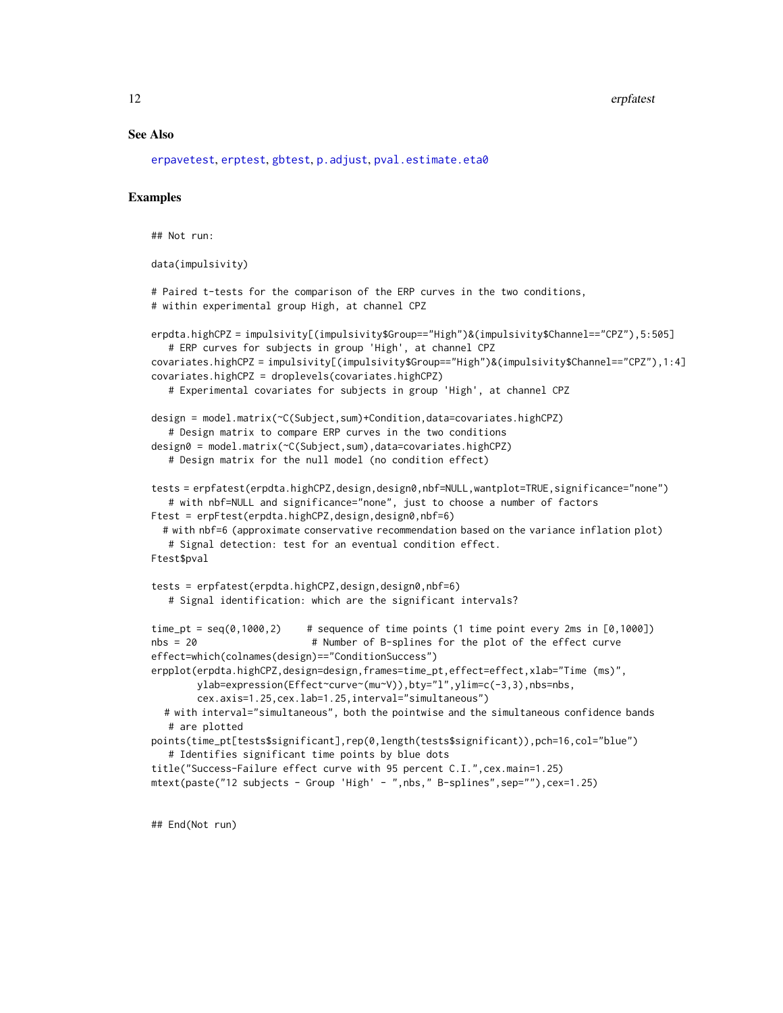#### <span id="page-11-0"></span>12 erpfatest and the contract of the contract of the contract of the contract of the contract of the contract of the contract of the contract of the contract of the contract of the contract of the contract of the contract

#### See Also

[erpavetest](#page-6-1), [erptest](#page-16-1), [gbtest](#page-18-1), [p.adjust](#page-0-0), [pval.estimate.eta0](#page-0-0)

#### Examples

```
## Not run:
```

```
data(impulsivity)
```

```
# Paired t-tests for the comparison of the ERP curves in the two conditions,
# within experimental group High, at channel CPZ
```

```
erpdta.highCPZ = impulsivity[(impulsivity$Group=="High")&(impulsivity$Channel=="CPZ"),5:505]
   # ERP curves for subjects in group 'High', at channel CPZ
covariates.highCPZ = impulsivity[(impulsivity$Group=="High")&(impulsivity$Channel=="CPZ"),1:4]
covariates.highCPZ = droplevels(covariates.highCPZ)
   # Experimental covariates for subjects in group 'High', at channel CPZ
design = model.matrix(~C(Subject,sum)+Condition,data=covariates.highCPZ)
   # Design matrix to compare ERP curves in the two conditions
design0 = model.matrix(~C(Subject,sum),data=covariates.highCPZ)
  # Design matrix for the null model (no condition effect)
tests = erpfatest(erpdta.highCPZ,design,design0,nbf=NULL,wantplot=TRUE,significance="none")
   # with nbf=NULL and significance="none", just to choose a number of factors
Ftest = erpFtest(erpdta.highCPZ,design,design0,nbf=6)
 # with nbf=6 (approximate conservative recommendation based on the variance inflation plot)
   # Signal detection: test for an eventual condition effect.
Ftest$pval
tests = erpfatest(erpdta.highCPZ,design,design0,nbf=6)
   # Signal identification: which are the significant intervals?
time_pt = seq(0, 1000, 2) # sequence of time points (1 time point every 2ms in [0,1000])
nbs = 20 # Number of B-splines for the plot of the effect curve
effect=which(colnames(design)=="ConditionSuccess")
erpplot(erpdta.highCPZ,design=design,frames=time_pt,effect=effect,xlab="Time (ms)",
        ylab=expression(Effect~curve~(mu~V)),bty="l",ylim=c(-3,3),nbs=nbs,
       cex.axis=1.25,cex.lab=1.25,interval="simultaneous")
  # with interval="simultaneous", both the pointwise and the simultaneous confidence bands
   # are plotted
points(time_pt[tests$significant],rep(0,length(tests$significant)),pch=16,col="blue")
   # Identifies significant time points by blue dots
title("Success-Failure effect curve with 95 percent C.I.",cex.main=1.25)
mtext(paste("12 subjects - Group 'High' - ",nbs," B-splines",sep=""),cex=1.25)
```
## End(Not run)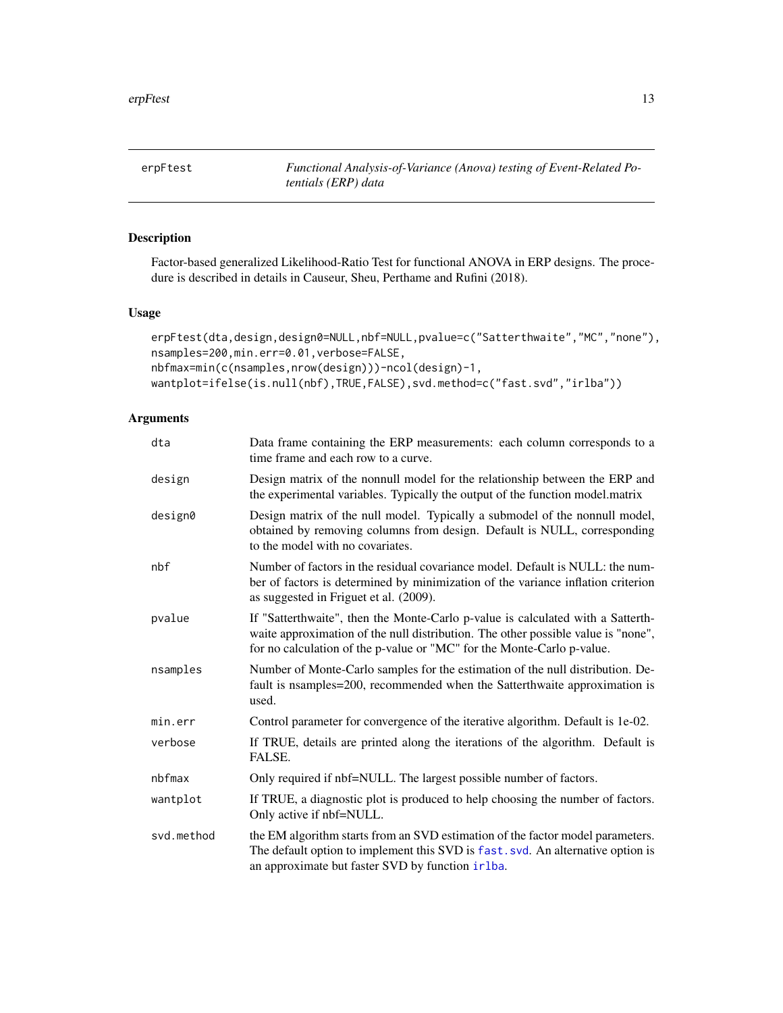<span id="page-12-0"></span>

#### Description

Factor-based generalized Likelihood-Ratio Test for functional ANOVA in ERP designs. The procedure is described in details in Causeur, Sheu, Perthame and Rufini (2018).

#### Usage

```
erpFtest(dta,design,design0=NULL,nbf=NULL,pvalue=c("Satterthwaite","MC","none"),
nsamples=200,min.err=0.01,verbose=FALSE,
nbfmax=min(c(nsamples,nrow(design)))-ncol(design)-1,
wantplot=ifelse(is.null(nbf),TRUE,FALSE),svd.method=c("fast.svd","irlba"))
```
#### Arguments

| dta        | Data frame containing the ERP measurements: each column corresponds to a<br>time frame and each row to a curve.                                                                                                                                |
|------------|------------------------------------------------------------------------------------------------------------------------------------------------------------------------------------------------------------------------------------------------|
| design     | Design matrix of the nonnull model for the relationship between the ERP and<br>the experimental variables. Typically the output of the function model.matrix                                                                                   |
| design0    | Design matrix of the null model. Typically a submodel of the nonnull model,<br>obtained by removing columns from design. Default is NULL, corresponding<br>to the model with no covariates.                                                    |
| nbf        | Number of factors in the residual covariance model. Default is NULL: the num-<br>ber of factors is determined by minimization of the variance inflation criterion<br>as suggested in Friguet et al. (2009).                                    |
| pvalue     | If "Satterthwaite", then the Monte-Carlo p-value is calculated with a Satterth-<br>waite approximation of the null distribution. The other possible value is "none",<br>for no calculation of the p-value or "MC" for the Monte-Carlo p-value. |
| nsamples   | Number of Monte-Carlo samples for the estimation of the null distribution. De-<br>fault is nsamples=200, recommended when the Satterthwaite approximation is<br>used.                                                                          |
| min.err    | Control parameter for convergence of the iterative algorithm. Default is 1e-02.                                                                                                                                                                |
| verbose    | If TRUE, details are printed along the iterations of the algorithm. Default is<br>FALSE.                                                                                                                                                       |
| nbfmax     | Only required if nbf=NULL. The largest possible number of factors.                                                                                                                                                                             |
| wantplot   | If TRUE, a diagnostic plot is produced to help choosing the number of factors.<br>Only active if nbf=NULL.                                                                                                                                     |
| svd.method | the EM algorithm starts from an SVD estimation of the factor model parameters.<br>The default option to implement this SVD is fast. svd. An alternative option is<br>an approximate but faster SVD by function irlba.                          |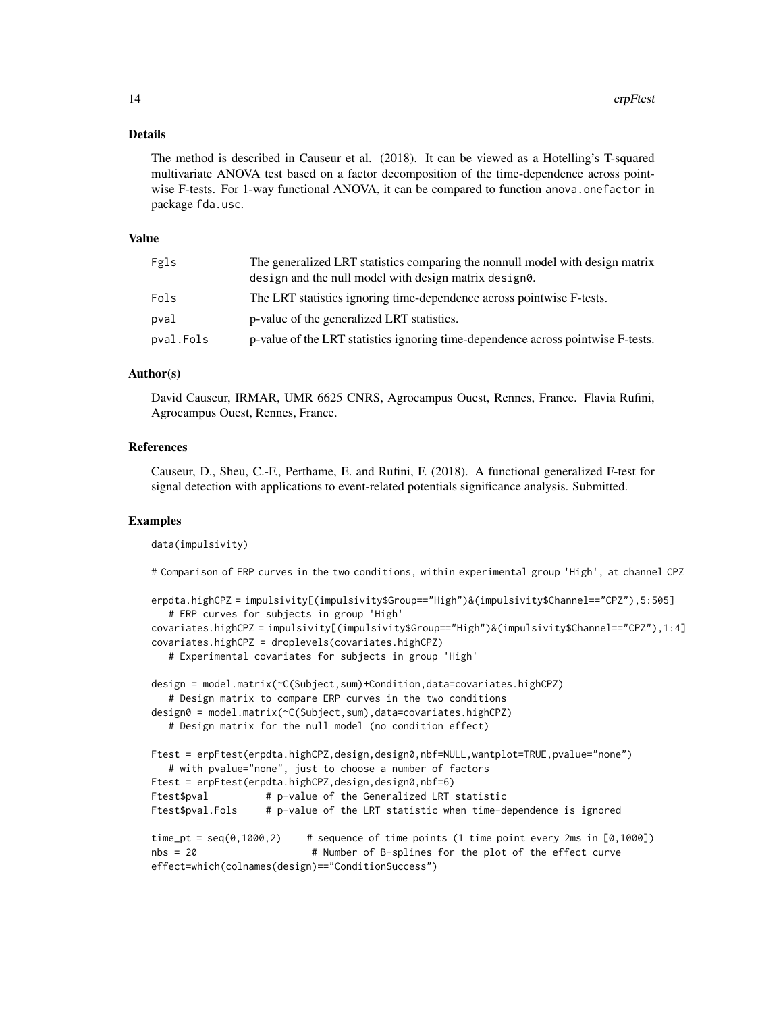#### Details

The method is described in Causeur et al. (2018). It can be viewed as a Hotelling's T-squared multivariate ANOVA test based on a factor decomposition of the time-dependence across pointwise F-tests. For 1-way functional ANOVA, it can be compared to function anova.onefactor in package fda.usc.

#### Value

| Fgls      | The generalized LRT statistics comparing the nonnull model with design matrix<br>design and the null model with design matrix designe. |
|-----------|----------------------------------------------------------------------------------------------------------------------------------------|
| Fols      | The LRT statistics ignoring time-dependence across pointwise F-tests.                                                                  |
| pval      | p-value of the generalized LRT statistics.                                                                                             |
| pval.Fols | p-value of the LRT statistics ignoring time-dependence across pointwise F-tests.                                                       |

#### Author(s)

David Causeur, IRMAR, UMR 6625 CNRS, Agrocampus Ouest, Rennes, France. Flavia Rufini, Agrocampus Ouest, Rennes, France.

#### References

Causeur, D., Sheu, C.-F., Perthame, E. and Rufini, F. (2018). A functional generalized F-test for signal detection with applications to event-related potentials significance analysis. Submitted.

#### Examples

data(impulsivity)

# Comparison of ERP curves in the two conditions, within experimental group 'High', at channel CPZ

```
erpdta.highCPZ = impulsivity[(impulsivity$Group=="High")&(impulsivity$Channel=="CPZ"),5:505]
  # ERP curves for subjects in group 'High'
covariates.highCPZ = impulsivity[(impulsivity$Group=="High")&(impulsivity$Channel=="CPZ"),1:4]
covariates.highCPZ = droplevels(covariates.highCPZ)
  # Experimental covariates for subjects in group 'High'
design = model.matrix(~C(Subject,sum)+Condition,data=covariates.highCPZ)
  # Design matrix to compare ERP curves in the two conditions
design0 = model.matrix(~C(Subject,sum),data=covariates.highCPZ)
  # Design matrix for the null model (no condition effect)
Ftest = erpFtest(erpdta.highCPZ,design,design0,nbf=NULL,wantplot=TRUE,pvalue="none")
  # with pvalue="none", just to choose a number of factors
Ftest = erpFtest(erpdta.highCPZ,design,design0,nbf=6)
Ftest$pval # p-value of the Generalized LRT statistic
Ftest$pval.Fols # p-value of the LRT statistic when time-dependence is ignored
time_pt = seq(0,1000,2) # sequence of time points (1 time point every 2ms in [0,1000])
nbs = 20 # Number of B-splines for the plot of the effect curve
effect=which(colnames(design)=="ConditionSuccess")
```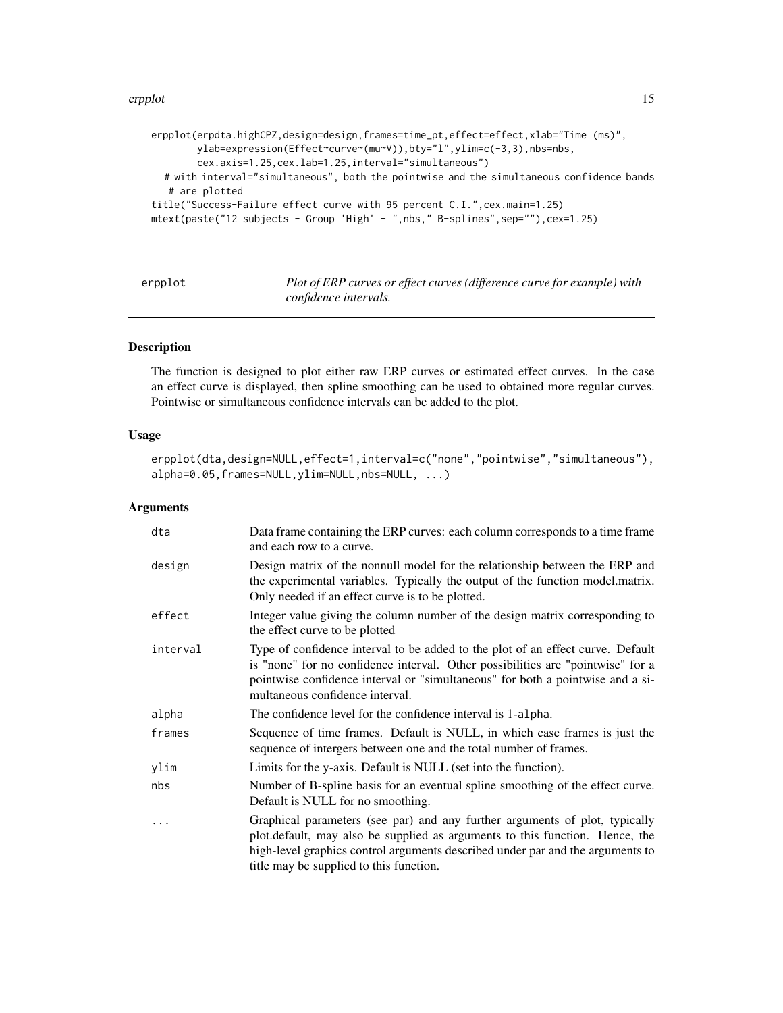#### <span id="page-14-0"></span>erpplot that the contract of the contract of the contract of the contract of the contract of the contract of the contract of the contract of the contract of the contract of the contract of the contract of the contract of t

```
erpplot(erpdta.highCPZ,design=design,frames=time_pt,effect=effect,xlab="Time (ms)",
       ylab=expression(Effect~curve~(mu~V)),bty="l",ylim=c(-3,3),nbs=nbs,
       cex.axis=1.25,cex.lab=1.25,interval="simultaneous")
  # with interval="simultaneous", both the pointwise and the simultaneous confidence bands
  # are plotted
title("Success-Failure effect curve with 95 percent C.I.",cex.main=1.25)
mtext(paste("12 subjects - Group 'High' - ",nbs," B-splines",sep=""),cex=1.25)
```
erpplot *Plot of ERP curves or effect curves (difference curve for example) with confidence intervals.*

#### Description

The function is designed to plot either raw ERP curves or estimated effect curves. In the case an effect curve is displayed, then spline smoothing can be used to obtained more regular curves. Pointwise or simultaneous confidence intervals can be added to the plot.

#### Usage

```
erpplot(dta,design=NULL,effect=1,interval=c("none","pointwise","simultaneous"),
alpha=0.05,frames=NULL,ylim=NULL,nbs=NULL, ...)
```
#### Arguments

| dta      | Data frame containing the ERP curves: each column corresponds to a time frame<br>and each row to a curve.                                                                                                                                                                                |
|----------|------------------------------------------------------------------------------------------------------------------------------------------------------------------------------------------------------------------------------------------------------------------------------------------|
| design   | Design matrix of the nonnull model for the relationship between the ERP and<br>the experimental variables. Typically the output of the function model.matrix.<br>Only needed if an effect curve is to be plotted.                                                                        |
| effect   | Integer value giving the column number of the design matrix corresponding to<br>the effect curve to be plotted                                                                                                                                                                           |
| interval | Type of confidence interval to be added to the plot of an effect curve. Default<br>is "none" for no confidence interval. Other possibilities are "pointwise" for a<br>pointwise confidence interval or "simultaneous" for both a pointwise and a si-<br>multaneous confidence interval.  |
| alpha    | The confidence level for the confidence interval is 1-alpha.                                                                                                                                                                                                                             |
| frames   | Sequence of time frames. Default is NULL, in which case frames is just the<br>sequence of intergers between one and the total number of frames.                                                                                                                                          |
| ylim     | Limits for the y-axis. Default is NULL (set into the function).                                                                                                                                                                                                                          |
| nbs      | Number of B-spline basis for an eventual spline smoothing of the effect curve.<br>Default is NULL for no smoothing.                                                                                                                                                                      |
|          | Graphical parameters (see par) and any further arguments of plot, typically<br>plot.default, may also be supplied as arguments to this function. Hence, the<br>high-level graphics control arguments described under par and the arguments to<br>title may be supplied to this function. |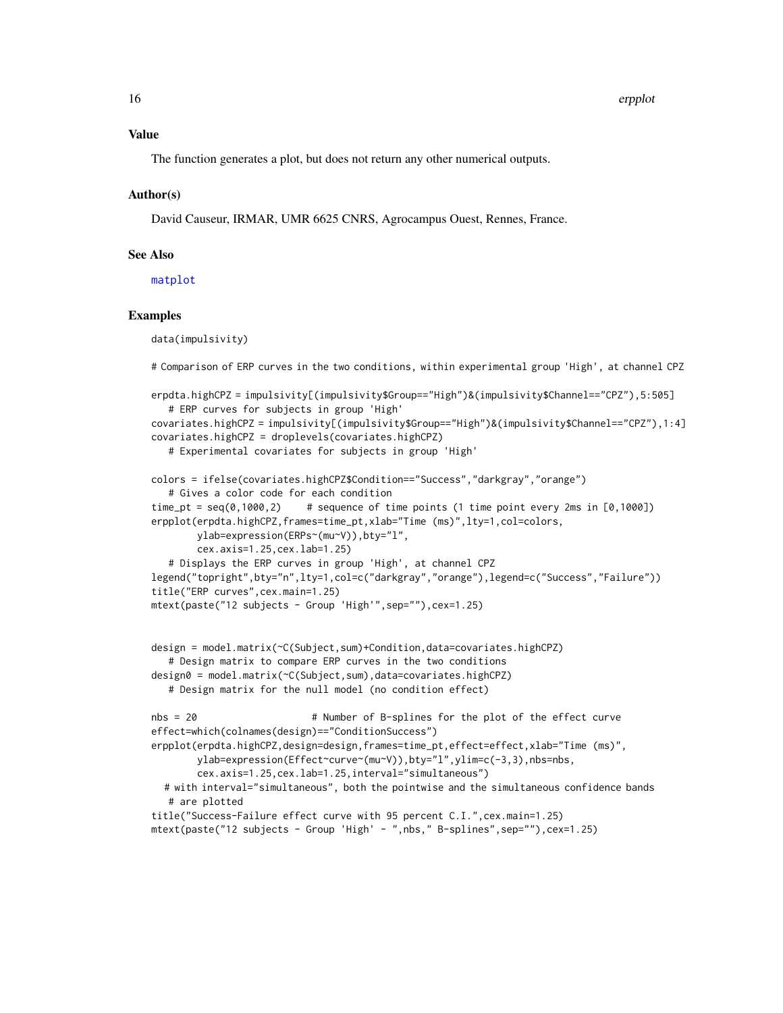<span id="page-15-0"></span>The function generates a plot, but does not return any other numerical outputs.

#### Author(s)

David Causeur, IRMAR, UMR 6625 CNRS, Agrocampus Ouest, Rennes, France.

#### See Also

[matplot](#page-0-0)

#### Examples

data(impulsivity)

# Comparison of ERP curves in the two conditions, within experimental group 'High', at channel CPZ

```
erpdta.highCPZ = impulsivity[(impulsivity$Group=="High")&(impulsivity$Channel=="CPZ"),5:505]
   # ERP curves for subjects in group 'High'
covariates.highCPZ = impulsivity[(impulsivity$Group=="High")&(impulsivity$Channel=="CPZ"),1:4]
covariates.highCPZ = droplevels(covariates.highCPZ)
   # Experimental covariates for subjects in group 'High'
colors = ifelse(covariates.highCPZ$Condition=="Success","darkgray","orange")
   # Gives a color code for each condition
time_pt = seq(0,1000,2) # sequence of time points (1 time point every 2ms in [0,1000])
erpplot(erpdta.highCPZ,frames=time_pt,xlab="Time (ms)",lty=1,col=colors,
       ylab=expression(ERPs~(mu~V)),bty="l",
        cex.axis=1.25,cex.lab=1.25)
   # Displays the ERP curves in group 'High', at channel CPZ
legend("topright",bty="n",lty=1,col=c("darkgray","orange"),legend=c("Success","Failure"))
title("ERP curves",cex.main=1.25)
mtext(paste("12 subjects - Group 'High'",sep=""),cex=1.25)
design = model.matrix(~C(Subject,sum)+Condition,data=covariates.highCPZ)
   # Design matrix to compare ERP curves in the two conditions
design0 = model.matrix(~C(Subject,sum),data=covariates.highCPZ)
   # Design matrix for the null model (no condition effect)
nbs = 20 # Number of B-splines for the plot of the effect curve
effect=which(colnames(design)=="ConditionSuccess")
erpplot(erpdta.highCPZ,design=design,frames=time_pt,effect=effect,xlab="Time (ms)",
       ylab=expression(Effect~curve~(mu~V)),bty="l",ylim=c(-3,3),nbs=nbs,
       cex.axis=1.25,cex.lab=1.25,interval="simultaneous")
```
# with interval="simultaneous", both the pointwise and the simultaneous confidence bands # are plotted

title("Success-Failure effect curve with 95 percent C.I.",cex.main=1.25)

```
mtext(paste("12 subjects - Group 'High' - ",nbs," B-splines",sep=""),cex=1.25)
```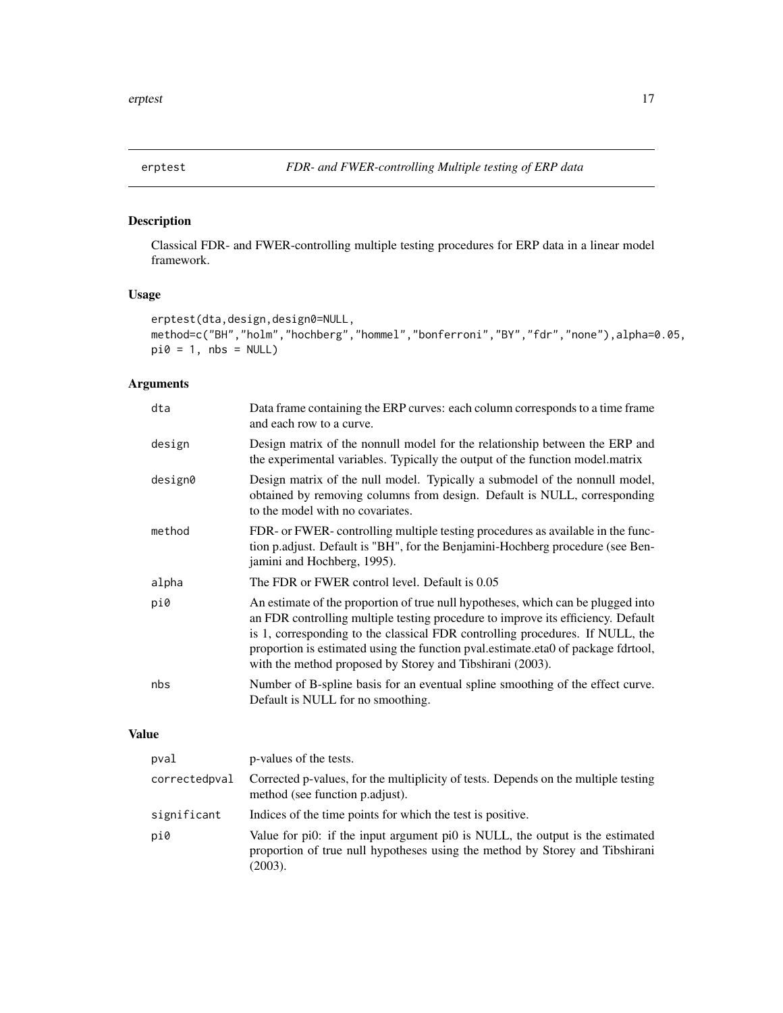<span id="page-16-1"></span><span id="page-16-0"></span>

#### Description

Classical FDR- and FWER-controlling multiple testing procedures for ERP data in a linear model framework.

#### Usage

```
erptest(dta,design,design0=NULL,
method=c("BH","holm","hochberg","hommel","bonferroni","BY","fdr","none"),alpha=0.05,
pi0 = 1, nbs = NULL
```
#### Arguments

| dta     | Data frame containing the ERP curves: each column corresponds to a time frame<br>and each row to a curve.                                                                                                                                                                                                                                                                                               |
|---------|---------------------------------------------------------------------------------------------------------------------------------------------------------------------------------------------------------------------------------------------------------------------------------------------------------------------------------------------------------------------------------------------------------|
| design  | Design matrix of the nonnull model for the relationship between the ERP and<br>the experimental variables. Typically the output of the function model.matrix                                                                                                                                                                                                                                            |
| design0 | Design matrix of the null model. Typically a submodel of the nonnull model,<br>obtained by removing columns from design. Default is NULL, corresponding<br>to the model with no covariates.                                                                                                                                                                                                             |
| method  | FDR- or FWER- controlling multiple testing procedures as available in the func-<br>tion p.adjust. Default is "BH", for the Benjamini-Hochberg procedure (see Ben-<br>jamini and Hochberg, 1995).                                                                                                                                                                                                        |
| alpha   | The FDR or FWER control level. Default is 0.05                                                                                                                                                                                                                                                                                                                                                          |
| pi0     | An estimate of the proportion of true null hypotheses, which can be plugged into<br>an FDR controlling multiple testing procedure to improve its efficiency. Default<br>is 1, corresponding to the classical FDR controlling procedures. If NULL, the<br>proportion is estimated using the function pval.estimate.eta0 of package fdrtool,<br>with the method proposed by Storey and Tibshirani (2003). |
| nbs     | Number of B-spline basis for an eventual spline smoothing of the effect curve.<br>Default is NULL for no smoothing.                                                                                                                                                                                                                                                                                     |

#### Value

| pval          | p-values of the tests.                                                                                                                                                   |
|---------------|--------------------------------------------------------------------------------------------------------------------------------------------------------------------------|
| correctedpval | Corrected p-values, for the multiplicity of tests. Depends on the multiple testing<br>method (see function p.adjust).                                                    |
| significant   | Indices of the time points for which the test is positive.                                                                                                               |
| pi0           | Value for pi0: if the input argument pi0 is NULL, the output is the estimated<br>proportion of true null hypotheses using the method by Storey and Tibshirani<br>(2003). |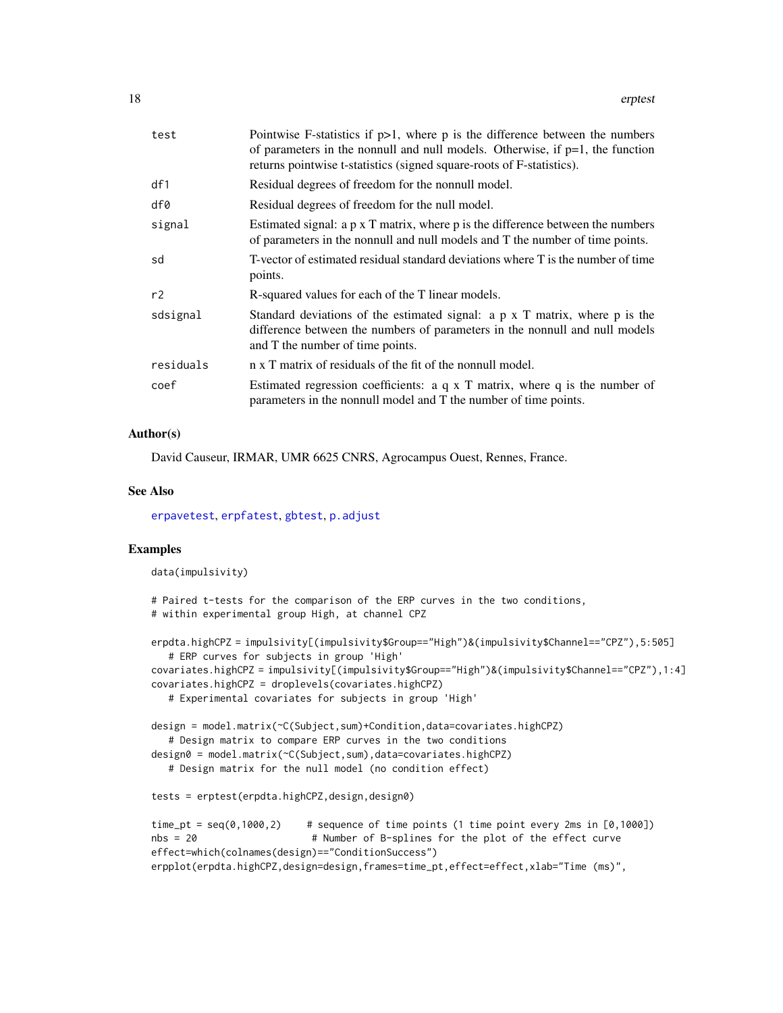<span id="page-17-0"></span>

| Pointwise F-statistics if $p>1$ , where p is the difference between the numbers<br>of parameters in the nonnull and null models. Otherwise, if $p=1$ , the function<br>returns pointwise t-statistics (signed square-roots of F-statistics). |
|----------------------------------------------------------------------------------------------------------------------------------------------------------------------------------------------------------------------------------------------|
| Residual degrees of freedom for the nonnull model.                                                                                                                                                                                           |
| Residual degrees of freedom for the null model.                                                                                                                                                                                              |
| Estimated signal: a p x T matrix, where p is the difference between the numbers<br>of parameters in the nonnull and null models and T the number of time points.                                                                             |
| T-vector of estimated residual standard deviations where T is the number of time<br>points.                                                                                                                                                  |
| R-squared values for each of the T linear models.                                                                                                                                                                                            |
| Standard deviations of the estimated signal: $a \, p \, x$ T matrix, where $p$ is the<br>difference between the numbers of parameters in the nonnull and null models<br>and T the number of time points.                                     |
| n x T matrix of residuals of the fit of the nonnull model.                                                                                                                                                                                   |
| Estimated regression coefficients: $a q x T$ matrix, where $q$ is the number of<br>parameters in the nonnull model and T the number of time points.                                                                                          |
|                                                                                                                                                                                                                                              |

#### Author(s)

David Causeur, IRMAR, UMR 6625 CNRS, Agrocampus Ouest, Rennes, France.

#### See Also

[erpavetest](#page-6-1), [erpfatest](#page-8-1), [gbtest](#page-18-1), [p.adjust](#page-0-0)

#### Examples

data(impulsivity)

```
# Paired t-tests for the comparison of the ERP curves in the two conditions,
# within experimental group High, at channel CPZ
```

```
erpdta.highCPZ = impulsivity[(impulsivity$Group=="High")&(impulsivity$Channel=="CPZ"),5:505]
   # ERP curves for subjects in group 'High'
covariates.highCPZ = impulsivity[(impulsivity$Group=="High")&(impulsivity$Channel=="CPZ"),1:4]
covariates.highCPZ = droplevels(covariates.highCPZ)
   # Experimental covariates for subjects in group 'High'
design = model.matrix(~C(Subject,sum)+Condition,data=covariates.highCPZ)
   # Design matrix to compare ERP curves in the two conditions
```

```
design0 = model.matrix(~C(Subject,sum),data=covariates.highCPZ)
```

```
# Design matrix for the null model (no condition effect)
```

```
tests = erptest(erpdta.highCPZ,design,design0)
```

```
time_pt = seq(0,1000,2) # sequence of time points (1 time point every 2ms in [0,1000])
nbs = 20 # Number of B-splines for the plot of the effect curve
effect=which(colnames(design)=="ConditionSuccess")
erpplot(erpdta.highCPZ,design=design,frames=time_pt,effect=effect,xlab="Time (ms)",
```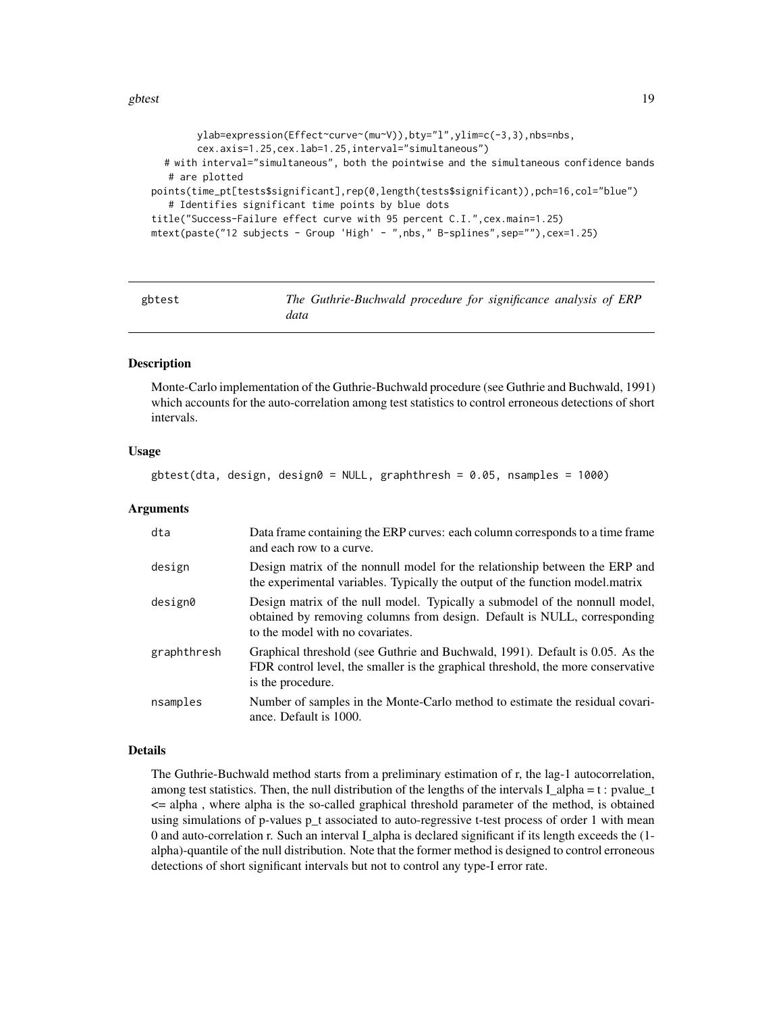```
ylab=expression(Effect~curve~(mu~V)),bty="l",ylim=c(-3,3),nbs=nbs,
        cex.axis=1.25,cex.lab=1.25,interval="simultaneous")
  # with interval="simultaneous", both the pointwise and the simultaneous confidence bands
   # are plotted
points(time_pt[tests$significant],rep(0,length(tests$significant)),pch=16,col="blue")
   # Identifies significant time points by blue dots
title("Success-Failure effect curve with 95 percent C.I.",cex.main=1.25)
mtext(paste("12 subjects - Group 'High' - ",nbs," B-splines",sep=""),cex=1.25)
```
<span id="page-18-1"></span>

| gbtest |      | The Guthrie-Buchwald procedure for significance analysis of ERP |  |  |  |
|--------|------|-----------------------------------------------------------------|--|--|--|
|        | data |                                                                 |  |  |  |

#### **Description**

Monte-Carlo implementation of the Guthrie-Buchwald procedure (see Guthrie and Buchwald, 1991) which accounts for the auto-correlation among test statistics to control erroneous detections of short intervals.

#### Usage

```
gbtest(dta, design, design0 = NULL, graphthresh = 0.05, nsamples = 1000)
```
#### Arguments

| dta         | Data frame containing the ERP curves: each column corresponds to a time frame<br>and each row to a curve.                                                                                   |
|-------------|---------------------------------------------------------------------------------------------------------------------------------------------------------------------------------------------|
| design      | Design matrix of the nonnull model for the relationship between the ERP and<br>the experimental variables. Typically the output of the function model. matrix                               |
| design0     | Design matrix of the null model. Typically a submodel of the nonnull model,<br>obtained by removing columns from design. Default is NULL, corresponding<br>to the model with no covariates. |
| graphthresh | Graphical threshold (see Guthrie and Buchwald, 1991). Default is 0.05. As the<br>FDR control level, the smaller is the graphical threshold, the more conservative<br>is the procedure.      |
| nsamples    | Number of samples in the Monte-Carlo method to estimate the residual covari-<br>ance. Default is 1000.                                                                                      |

#### Details

The Guthrie-Buchwald method starts from a preliminary estimation of r, the lag-1 autocorrelation, among test statistics. Then, the null distribution of the lengths of the intervals I alpha = t : pvalue t <= alpha , where alpha is the so-called graphical threshold parameter of the method, is obtained using simulations of p-values p t associated to auto-regressive t-test process of order 1 with mean 0 and auto-correlation r. Such an interval I\_alpha is declared significant if its length exceeds the (1 alpha)-quantile of the null distribution. Note that the former method is designed to control erroneous detections of short significant intervals but not to control any type-I error rate.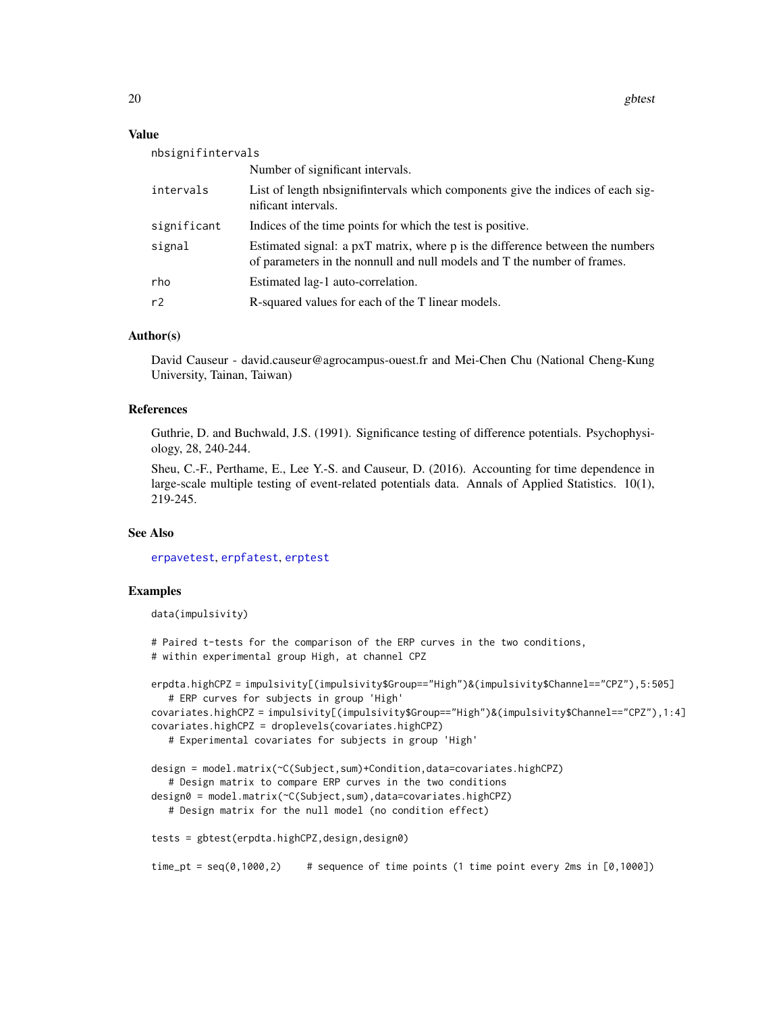#### <span id="page-19-0"></span>Value

| nbsignifintervals |                                                                                                                                                           |
|-------------------|-----------------------------------------------------------------------------------------------------------------------------------------------------------|
|                   | Number of significant intervals.                                                                                                                          |
| intervals         | List of length nbsignifintervals which components give the indices of each sig-<br>nificant intervals.                                                    |
| significant       | Indices of the time points for which the test is positive.                                                                                                |
| signal            | Estimated signal: a pxT matrix, where p is the difference between the numbers<br>of parameters in the nonnull and null models and T the number of frames. |
| rho               | Estimated lag-1 auto-correlation.                                                                                                                         |
| r2                | R-squared values for each of the T linear models.                                                                                                         |

#### Author(s)

David Causeur - david.causeur@agrocampus-ouest.fr and Mei-Chen Chu (National Cheng-Kung University, Tainan, Taiwan)

#### References

Guthrie, D. and Buchwald, J.S. (1991). Significance testing of difference potentials. Psychophysiology, 28, 240-244.

Sheu, C.-F., Perthame, E., Lee Y.-S. and Causeur, D. (2016). Accounting for time dependence in large-scale multiple testing of event-related potentials data. Annals of Applied Statistics. 10(1), 219-245.

#### See Also

[erpavetest](#page-6-1), [erpfatest](#page-8-1), [erptest](#page-16-1)

#### Examples

data(impulsivity)

# Paired t-tests for the comparison of the ERP curves in the two conditions, # within experimental group High, at channel CPZ

```
erpdta.highCPZ = impulsivity[(impulsivity$Group=="High")&(impulsivity$Channel=="CPZ"),5:505]
   # ERP curves for subjects in group 'High'
covariates.highCPZ = impulsivity[(impulsivity$Group=="High")&(impulsivity$Channel=="CPZ"),1:4]
covariates.highCPZ = droplevels(covariates.highCPZ)
   # Experimental covariates for subjects in group 'High'
```

```
design = model.matrix(~C(Subject,sum)+Condition,data=covariates.highCPZ)
   # Design matrix to compare ERP curves in the two conditions
design0 = model.matrix(~C(Subject,sum),data=covariates.highCPZ)
  # Design matrix for the null model (no condition effect)
```

```
tests = gbtest(erpdta.highCPZ,design,design0)
```

```
time_pt = seq(0,1000,2) # sequence of time points (1 time point every 2ms in [0,1000])
```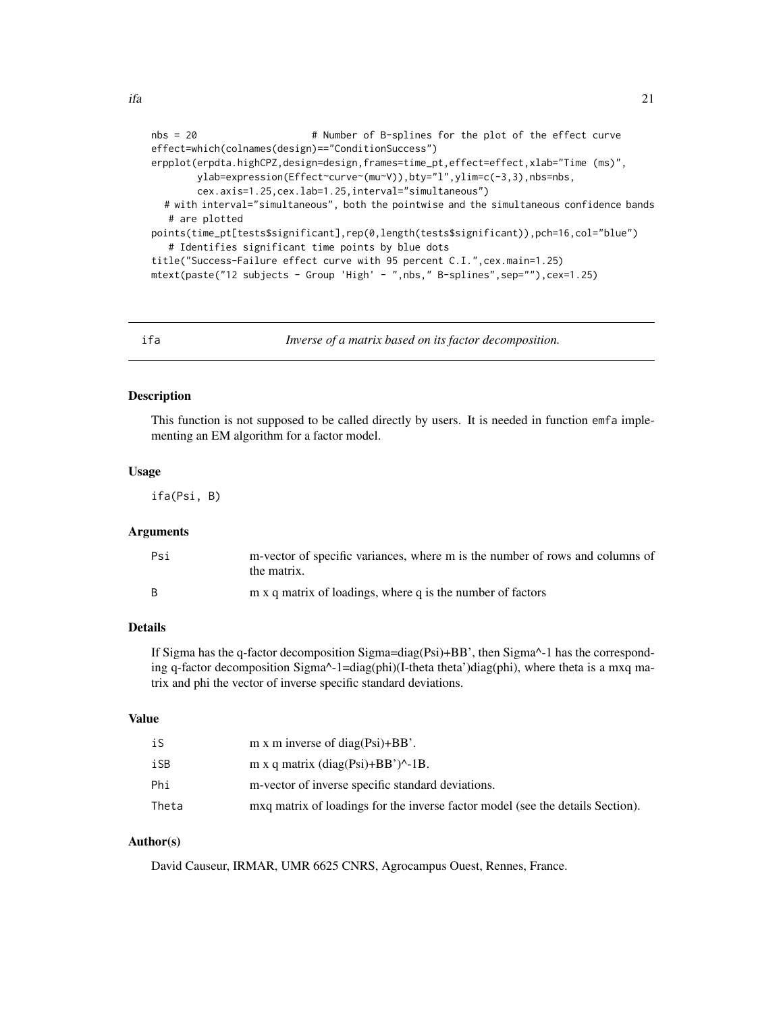```
nbs = 20 # Number of B-splines for the plot of the effect curve
effect=which(colnames(design)=="ConditionSuccess")
erpplot(erpdta.highCPZ,design=design,frames=time_pt,effect=effect,xlab="Time (ms)",
       ylab=expression(Effect~curve~(mu~V)),bty="l",ylim=c(-3,3),nbs=nbs,
       cex.axis=1.25,cex.lab=1.25,interval="simultaneous")
  # with interval="simultaneous", both the pointwise and the simultaneous confidence bands
  # are plotted
points(time_pt[tests$significant],rep(0,length(tests$significant)),pch=16,col="blue")
  # Identifies significant time points by blue dots
title("Success-Failure effect curve with 95 percent C.I.",cex.main=1.25)
mtext(paste("12 subjects - Group 'High' - ",nbs," B-splines",sep=""),cex=1.25)
```
<span id="page-20-1"></span>ifa *Inverse of a matrix based on its factor decomposition.*

#### **Description**

This function is not supposed to be called directly by users. It is needed in function emfa implementing an EM algorithm for a factor model.

#### Usage

ifa(Psi, B)

#### **Arguments**

| Psi | m-vector of specific variances, where m is the number of rows and columns of<br>the matrix. |
|-----|---------------------------------------------------------------------------------------------|
| B   | m x q matrix of loadings, where q is the number of factors                                  |

#### Details

If Sigma has the q-factor decomposition Sigma=diag(Psi)+BB', then Sigma^-1 has the corresponding q-factor decomposition Sigma^-1=diag(phi)(I-theta theta')diag(phi), where theta is a mxq matrix and phi the vector of inverse specific standard deviations.

#### Value

| iS    | m x m inverse of diag( $\text{Psi}$ )+BB'.                                     |
|-------|--------------------------------------------------------------------------------|
| iSB   | m x q matrix $(diag(Psi)+BB')^2-1B$ .                                          |
| Phi   | m-vector of inverse specific standard deviations.                              |
| Theta | mxq matrix of loadings for the inverse factor model (see the details Section). |

#### Author(s)

David Causeur, IRMAR, UMR 6625 CNRS, Agrocampus Ouest, Rennes, France.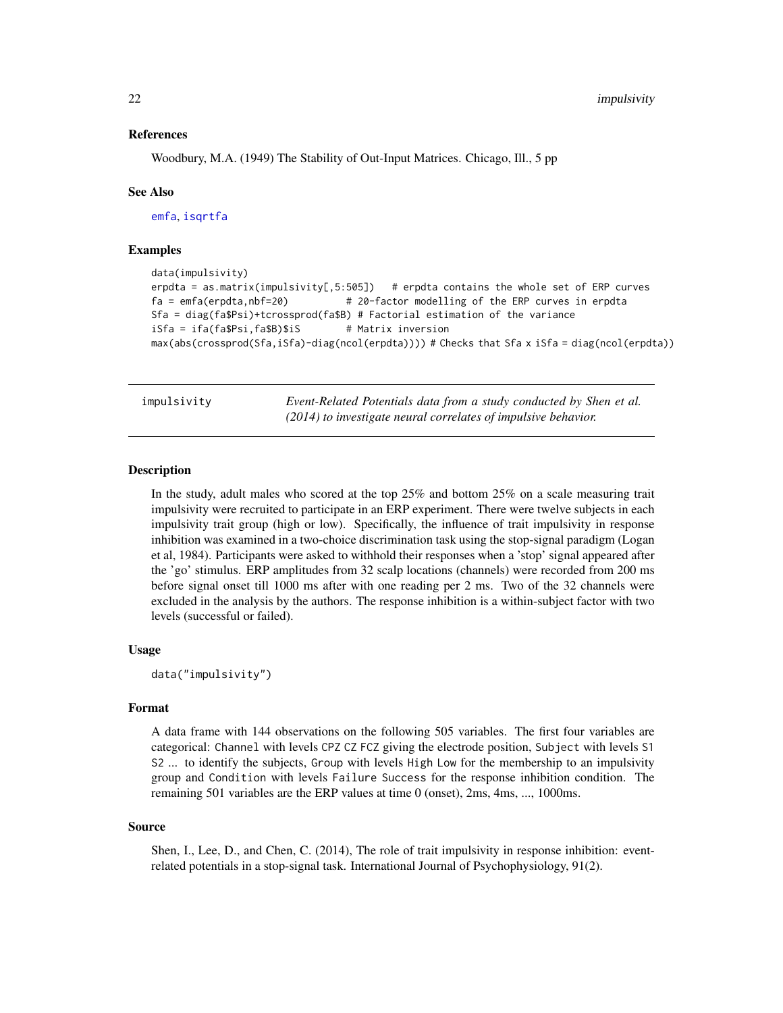#### <span id="page-21-0"></span>References

Woodbury, M.A. (1949) The Stability of Out-Input Matrices. Chicago, Ill., 5 pp

#### See Also

[emfa](#page-5-1), [isqrtfa](#page-22-1)

#### Examples

```
data(impulsivity)
erpdta = as.matrix(impulsivity[,5:505]) # erpdta contains the whole set of ERP curves
fa = emfa(erpdta,nbf=20) # 20-factor modelling of the ERP curves in erpdta
Sfa = diag(fa$Psi)+tcrossprod(fa$B) # Factorial estimation of the variance
iSfa = ifa(fa$Psi,fa$B)$iS # Matrix inversion
max(abs(crossprod(Sfa,iSfa)-diag(ncol(erpdta)))) # Checks that Sfa x iSfa = diag(ncol(erpdta))
```
impulsivity *Event-Related Potentials data from a study conducted by Shen et al. (2014) to investigate neural correlates of impulsive behavior.*

#### **Description**

In the study, adult males who scored at the top 25% and bottom 25% on a scale measuring trait impulsivity were recruited to participate in an ERP experiment. There were twelve subjects in each impulsivity trait group (high or low). Specifically, the influence of trait impulsivity in response inhibition was examined in a two-choice discrimination task using the stop-signal paradigm (Logan et al, 1984). Participants were asked to withhold their responses when a 'stop' signal appeared after the 'go' stimulus. ERP amplitudes from 32 scalp locations (channels) were recorded from 200 ms before signal onset till 1000 ms after with one reading per 2 ms. Two of the 32 channels were excluded in the analysis by the authors. The response inhibition is a within-subject factor with two levels (successful or failed).

#### Usage

```
data("impulsivity")
```
#### Format

A data frame with 144 observations on the following 505 variables. The first four variables are categorical: Channel with levels CPZ CZ FCZ giving the electrode position, Subject with levels S1 S2 ... to identify the subjects, Group with levels High Low for the membership to an impulsivity group and Condition with levels Failure Success for the response inhibition condition. The remaining 501 variables are the ERP values at time 0 (onset), 2ms, 4ms, ..., 1000ms.

#### Source

Shen, I., Lee, D., and Chen, C. (2014), The role of trait impulsivity in response inhibition: eventrelated potentials in a stop-signal task. International Journal of Psychophysiology, 91(2).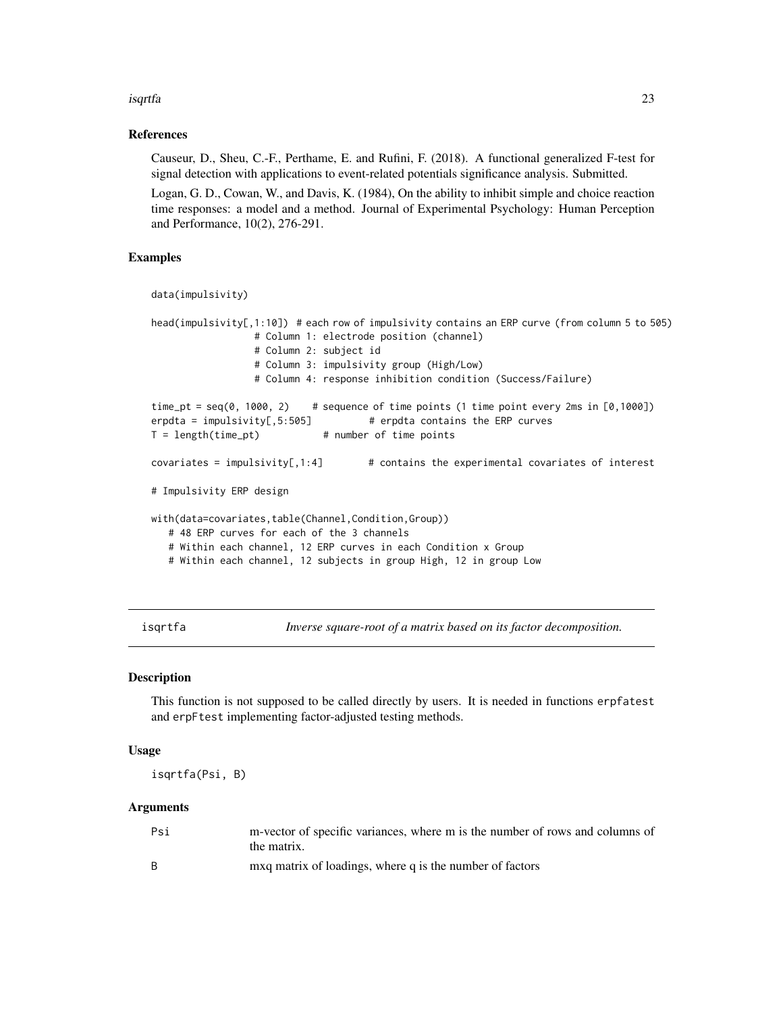#### <span id="page-22-0"></span>isqrtfa 23

#### References

Causeur, D., Sheu, C.-F., Perthame, E. and Rufini, F. (2018). A functional generalized F-test for signal detection with applications to event-related potentials significance analysis. Submitted.

Logan, G. D., Cowan, W., and Davis, K. (1984), On the ability to inhibit simple and choice reaction time responses: a model and a method. Journal of Experimental Psychology: Human Perception and Performance, 10(2), 276-291.

#### Examples

```
data(impulsivity)
```

```
head(impulsivity[,1:10]) # each row of impulsivity contains an ERP curve (from column 5 to 505)
                 # Column 1: electrode position (channel)
                 # Column 2: subject id
                 # Column 3: impulsivity group (High/Low)
                 # Column 4: response inhibition condition (Success/Failure)
time_pt = seq(0, 1000, 2) # sequence of time points (1 time point every 2ms in [0,1000])
erpdta = impulsivity[,5:505] # erpdta contains the ERP curves
T = length(time_pt) # number of time points
covariates = impulsivity[,1:4] \# contains the experimental covariates of interest
# Impulsivity ERP design
with(data=covariates,table(Channel,Condition,Group))
  # 48 ERP curves for each of the 3 channels
  # Within each channel, 12 ERP curves in each Condition x Group
  # Within each channel, 12 subjects in group High, 12 in group Low
```
<span id="page-22-1"></span>isqrtfa *Inverse square-root of a matrix based on its factor decomposition.*

#### Description

This function is not supposed to be called directly by users. It is needed in functions erpfatest and erpFtest implementing factor-adjusted testing methods.

#### Usage

isqrtfa(Psi, B)

#### Arguments

| Psi | m-vector of specific variances, where m is the number of rows and columns of<br>the matrix. |
|-----|---------------------------------------------------------------------------------------------|
| - B | mxq matrix of loadings, where q is the number of factors                                    |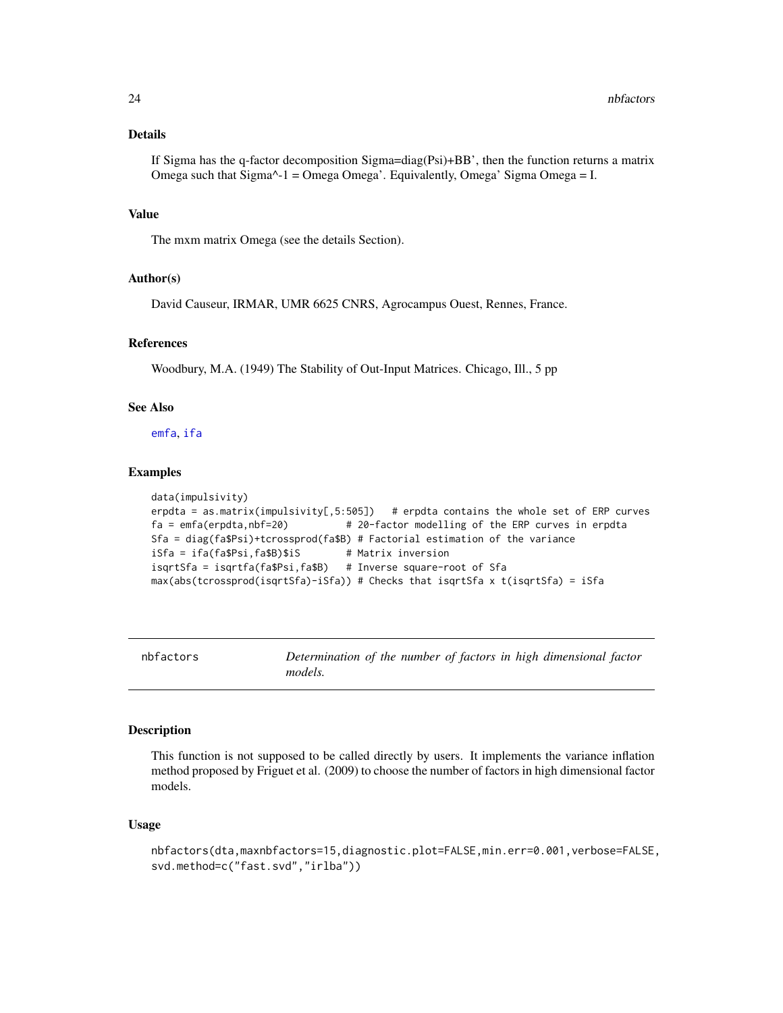#### <span id="page-23-0"></span>Details

If Sigma has the q-factor decomposition Sigma=diag(Psi)+BB', then the function returns a matrix Omega such that Sigma^-1 = Omega Omega'. Equivalently, Omega' Sigma Omega = I.

#### Value

The mxm matrix Omega (see the details Section).

#### Author(s)

David Causeur, IRMAR, UMR 6625 CNRS, Agrocampus Ouest, Rennes, France.

#### References

Woodbury, M.A. (1949) The Stability of Out-Input Matrices. Chicago, Ill., 5 pp

#### See Also

[emfa](#page-5-1), [ifa](#page-20-1)

#### Examples

```
data(impulsivity)
erpdta = as.matrix(impulsivity[,5:505]) # erpdta contains the whole set of ERP curves
fa = emfa(erpdta,nbf=20) # 20-factor modelling of the ERP curves in erpdta
Sfa = diag(fa$Psi)+tcrossprod(fa$B) # Factorial estimation of the variance
iSfa = ifa(fa$Psi,fa$B)$iS # Matrix inversion
isqrtSfa = isqrtfa(fa$Psi,fa$B) # Inverse square-root of Sfa
max(abs(tcrossprod(isqrtSfa)-iSfa)) # Checks that isqrtSfa x t(isqrtSfa) = iSfa
```

| nbfactors | Determination of the number of factors in high dimensional factor |  |  |  |  |
|-----------|-------------------------------------------------------------------|--|--|--|--|
|           | <i>models.</i>                                                    |  |  |  |  |

#### Description

This function is not supposed to be called directly by users. It implements the variance inflation method proposed by Friguet et al. (2009) to choose the number of factors in high dimensional factor models.

#### Usage

```
nbfactors(dta,maxnbfactors=15,diagnostic.plot=FALSE,min.err=0.001,verbose=FALSE,
svd.method=c("fast.svd","irlba"))
```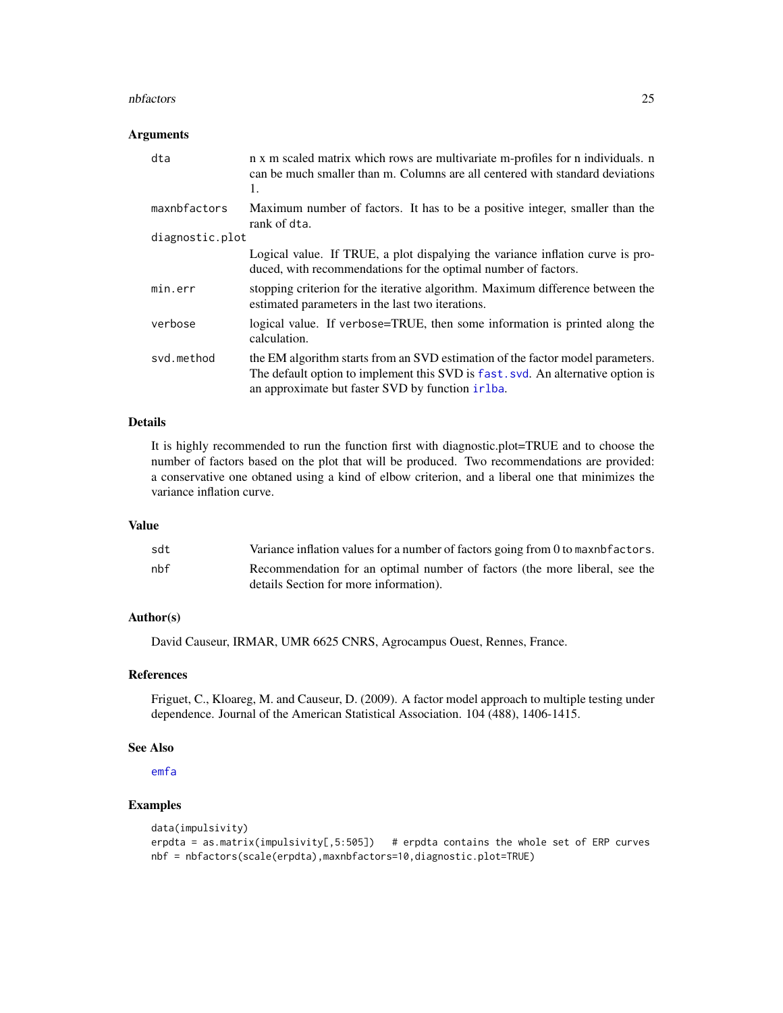#### <span id="page-24-0"></span>nbfactors 25

#### Arguments

| dta             | n x m scaled matrix which rows are multivariate m-profiles for n individuals. n<br>can be much smaller than m. Columns are all centered with standard deviations<br>1.                                                  |
|-----------------|-------------------------------------------------------------------------------------------------------------------------------------------------------------------------------------------------------------------------|
| maxnbfactors    | Maximum number of factors. It has to be a positive integer, smaller than the<br>rank of dta.                                                                                                                            |
| diagnostic.plot |                                                                                                                                                                                                                         |
|                 | Logical value. If TRUE, a plot dispalying the variance inflation curve is pro-<br>duced, with recommendations for the optimal number of factors.                                                                        |
| min.err         | stopping criterion for the iterative algorithm. Maximum difference between the<br>estimated parameters in the last two iterations.                                                                                      |
| verbose         | logical value. If verbose=TRUE, then some information is printed along the<br>calculation.                                                                                                                              |
| svd.method      | the EM algorithm starts from an SVD estimation of the factor model parameters.<br>The default option to implement this SVD is fast. svd. An alternative option is<br>an approximate but faster SVD by function in that. |

#### Details

It is highly recommended to run the function first with diagnostic.plot=TRUE and to choose the number of factors based on the plot that will be produced. Two recommendations are provided: a conservative one obtaned using a kind of elbow criterion, and a liberal one that minimizes the variance inflation curve.

#### Value

| sdt | Variance inflation values for a number of factors going from 0 to maxnb factors.                                     |
|-----|----------------------------------------------------------------------------------------------------------------------|
| nbf | Recommendation for an optimal number of factors (the more liberal, see the<br>details Section for more information). |
|     |                                                                                                                      |

#### Author(s)

David Causeur, IRMAR, UMR 6625 CNRS, Agrocampus Ouest, Rennes, France.

#### References

Friguet, C., Kloareg, M. and Causeur, D. (2009). A factor model approach to multiple testing under dependence. Journal of the American Statistical Association. 104 (488), 1406-1415.

#### See Also

[emfa](#page-5-1)

#### Examples

```
data(impulsivity)
erpdta = as.matrix(impulsivity[,5:505]) # erpdta contains the whole set of ERP curves
nbf = nbfactors(scale(erpdta),maxnbfactors=10,diagnostic.plot=TRUE)
```